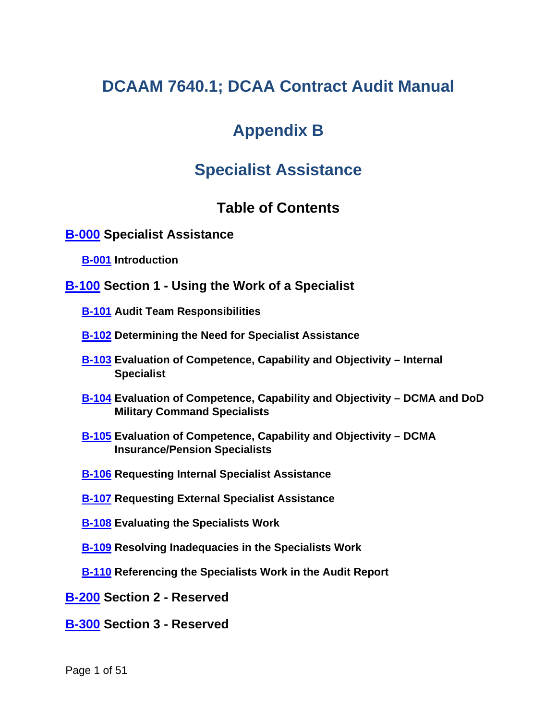# **DCAAM 7640.1; DCAA Contract Audit Manual**

# **Appendix B**

# **Specialist Assistance**

## <span id="page-0-8"></span><span id="page-0-7"></span><span id="page-0-6"></span><span id="page-0-4"></span><span id="page-0-3"></span><span id="page-0-2"></span><span id="page-0-1"></span><span id="page-0-0"></span>**Table of Contents**

#### **[B-000](#page-1-0) Specialist Assistance**

**[B-001](#page-2-0) Introduction**

- <span id="page-0-5"></span>**[B-100](#page-2-1) Section 1 - Using the Work of a Specialist**
	- **[B-101](#page-3-0) Audit Team Responsibilities**
	- **[B-102](#page-3-1) Determining the Need for Specialist Assistance**
	- **[B-103](#page-5-0) Evaluation of Competence, Capability and Objectivity – Internal Specialist**
	- **[B-104](#page-6-0) Evaluation of Competence, Capability and Objectivity – DCMA and DoD Military Command Specialists**
	- **[B-105](#page-8-0) Evaluation of Competence, Capability and Objectivity – DCMA Insurance/Pension Specialists**
	- **[B-106](#page-8-1) Requesting Internal Specialist Assistance**
	- **[B-107](#page-9-0) Requesting External Specialist Assistance**
	- **[B-108](#page-10-0) Evaluating the Specialists Work**
	- **[B-109](#page-11-0) Resolving Inadequacies in the Specialists Work**
	- **[B-110](#page-11-1) Referencing the Specialists Work in the Audit Report**
- <span id="page-0-13"></span><span id="page-0-12"></span><span id="page-0-11"></span><span id="page-0-10"></span><span id="page-0-9"></span>**[B-200](#page-12-0) Section 2 - Reserved**
- <span id="page-0-14"></span>**[B-300](#page-12-1) Section 3 - Reserved**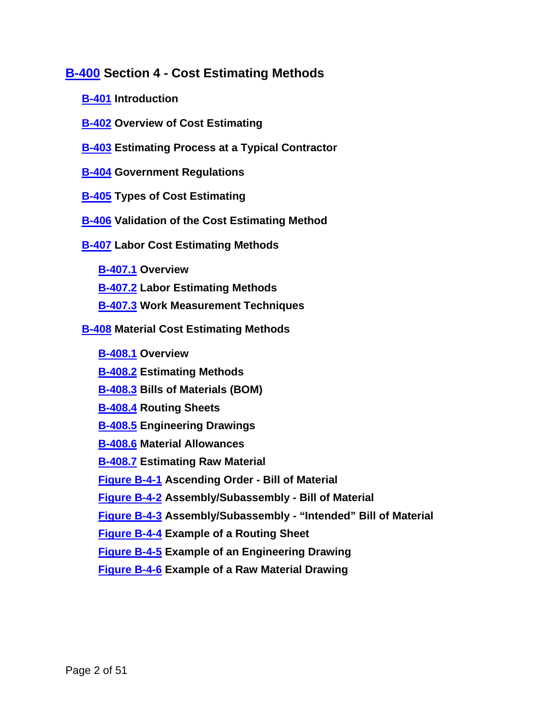### **[B-400](#page-12-2) Section 4 - Cost Estimating Methods**

- <span id="page-1-2"></span><span id="page-1-1"></span>**[B-401](#page-12-3) Introduction**
- <span id="page-1-3"></span>**[B-402](#page-12-4) Overview of Cost Estimating**
- <span id="page-1-4"></span>**[B-403](#page-13-0) Estimating Process at a Typical Contractor**
- <span id="page-1-5"></span>**[B-404](#page-16-0) Government Regulations**
- <span id="page-1-6"></span>**[B-405](#page-16-1) Types of Cost Estimating**
- <span id="page-1-7"></span>**[B-406](#page-18-0) Validation of the Cost Estimating Method**
- <span id="page-1-9"></span><span id="page-1-8"></span>**[B-407](#page-19-0) Labor Cost Estimating Methods**
	- **[B-407.1](#page-20-0) Overview**
	- **[B-407.2](#page-22-0) Labor Estimating Methods**
	- **[B-407.3](#page-28-0) Work Measurement Techniques**
- **[B-408](#page-33-0) Material Cost Estimating Methods**

<span id="page-1-18"></span><span id="page-1-17"></span><span id="page-1-16"></span><span id="page-1-15"></span><span id="page-1-14"></span><span id="page-1-13"></span><span id="page-1-12"></span><span id="page-1-11"></span><span id="page-1-10"></span>**[B-408.1](#page-33-1) Overview [B-408.2](#page-35-0) Estimating Methods [B-408.3](#page-36-0) Bills of Materials (BOM) [B-408.4](#page-37-0) Routing Sheets [B-408.5](#page-37-1) Engineering Drawings [B-408.6](#page-38-0) Material Allowances [B-408.7](#page-40-0) Estimating Raw Material [Figure B-4-1](#page-41-0) Ascending Order - Bill of Material [Figure B-4-2](#page-41-1) Assembly/Subassembly - Bill of Material [Figure B-4-3](#page-42-0) Assembly/Subassembly - "Intended" Bill of Material [Figure B-4-4](#page-44-0) Example of a Routing Sheet [Figure B-4-5](#page-47-0) Example of an Engineering Drawing**

<span id="page-1-25"></span><span id="page-1-24"></span><span id="page-1-23"></span><span id="page-1-22"></span><span id="page-1-21"></span><span id="page-1-20"></span><span id="page-1-19"></span><span id="page-1-0"></span>**[Figure B-4-6](#page-49-0) Example of a Raw Material Drawing**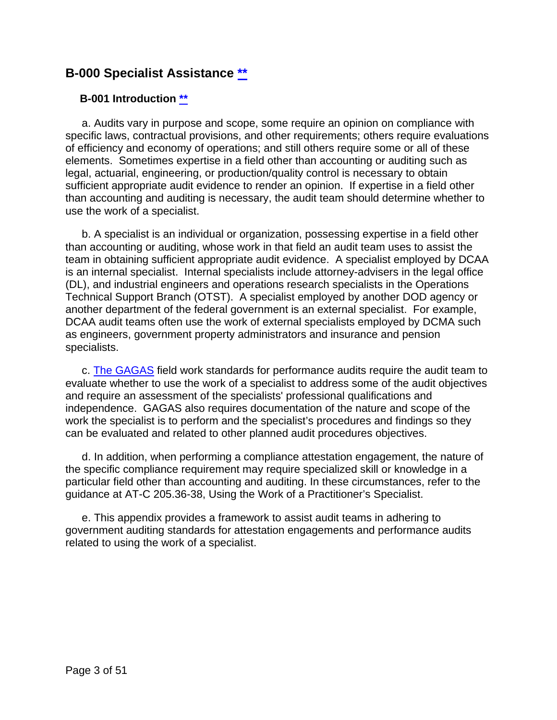### **B-000 Specialist Assistance [\\*\\*](#page-0-0)**

#### <span id="page-2-0"></span>**B-001 Introduction [\\*\\*](#page-0-1)**

a. Audits vary in purpose and scope, some require an opinion on compliance with specific laws, contractual provisions, and other requirements; others require evaluations of efficiency and economy of operations; and still others require some or all of these elements. Sometimes expertise in a field other than accounting or auditing such as legal, actuarial, engineering, or production/quality control is necessary to obtain sufficient appropriate audit evidence to render an opinion. If expertise in a field other than accounting and auditing is necessary, the audit team should determine whether to use the work of a specialist.

b. A specialist is an individual or organization, possessing expertise in a field other than accounting or auditing, whose work in that field an audit team uses to assist the team in obtaining sufficient appropriate audit evidence. A specialist employed by DCAA is an internal specialist. Internal specialists include attorney-advisers in the legal office (DL), and industrial engineers and operations research specialists in the Operations Technical Support Branch (OTST). A specialist employed by another DOD agency or another department of the federal government is an external specialist. For example, DCAA audit teams often use the work of external specialists employed by DCMA such as engineers, government property administrators and insurance and pension specialists.

c. [The GAGAS](http://www.gao.gov/yellowbook/overview) field work standards for performance audits require the audit team to evaluate whether to use the work of a specialist to address some of the audit objectives and require an assessment of the specialists' professional qualifications and independence. GAGAS also requires documentation of the nature and scope of the work the specialist is to perform and the specialist's procedures and findings so they can be evaluated and related to other planned audit procedures objectives.

d. In addition, when performing a compliance attestation engagement, the nature of the specific compliance requirement may require specialized skill or knowledge in a particular field other than accounting and auditing. In these circumstances, refer to the guidance at AT-C 205.36-38, Using the Work of a Practitioner's Specialist.

<span id="page-2-1"></span>e. This appendix provides a framework to assist audit teams in adhering to government auditing standards for attestation engagements and performance audits related to using the work of a specialist.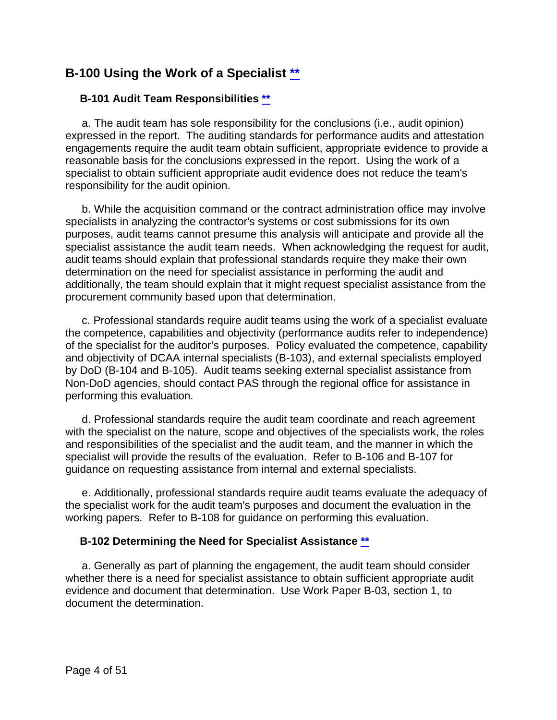### **B-100 Using the Work of a Specialist [\\*\\*](#page-0-2)**

#### <span id="page-3-0"></span>**B-101 Audit Team Responsibilities [\\*\\*](#page-0-3)**

a. The audit team has sole responsibility for the conclusions (i.e., audit opinion) expressed in the report. The auditing standards for performance audits and attestation engagements require the audit team obtain sufficient, appropriate evidence to provide a reasonable basis for the conclusions expressed in the report. Using the work of a specialist to obtain sufficient appropriate audit evidence does not reduce the team's responsibility for the audit opinion.

b. While the acquisition command or the contract administration office may involve specialists in analyzing the contractor's systems or cost submissions for its own purposes, audit teams cannot presume this analysis will anticipate and provide all the specialist assistance the audit team needs. When acknowledging the request for audit, audit teams should explain that professional standards require they make their own determination on the need for specialist assistance in performing the audit and additionally, the team should explain that it might request specialist assistance from the procurement community based upon that determination.

c. Professional standards require audit teams using the work of a specialist evaluate the competence, capabilities and objectivity (performance audits refer to independence) of the specialist for the auditor's purposes. Policy evaluated the competence, capability and objectivity of DCAA internal specialists (B-103), and external specialists employed by DoD (B-104 and B-105). Audit teams seeking external specialist assistance from Non-DoD agencies, should contact PAS through the regional office for assistance in performing this evaluation.

d. Professional standards require the audit team coordinate and reach agreement with the specialist on the nature, scope and objectives of the specialists work, the roles and responsibilities of the specialist and the audit team, and the manner in which the specialist will provide the results of the evaluation. Refer to B-106 and B-107 for guidance on requesting assistance from internal and external specialists.

e. Additionally, professional standards require audit teams evaluate the adequacy of the specialist work for the audit team's purposes and document the evaluation in the working papers. Refer to B-108 for guidance on performing this evaluation.

#### <span id="page-3-1"></span>**B-102 Determining the Need for Specialist Assistance [\\*\\*](#page-0-4)**

a. Generally as part of planning the engagement, the audit team should consider whether there is a need for specialist assistance to obtain sufficient appropriate audit evidence and document that determination. Use Work Paper B-03, section 1, to document the determination.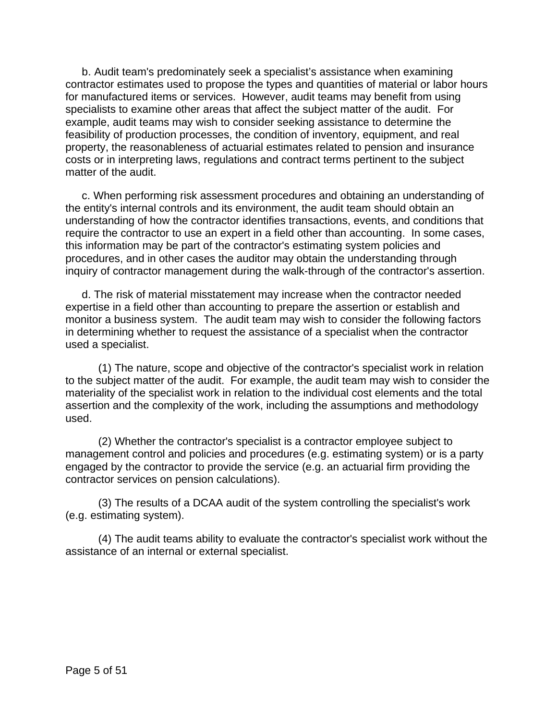b. Audit team's predominately seek a specialist's assistance when examining contractor estimates used to propose the types and quantities of material or labor hours for manufactured items or services. However, audit teams may benefit from using specialists to examine other areas that affect the subject matter of the audit. For example, audit teams may wish to consider seeking assistance to determine the feasibility of production processes, the condition of inventory, equipment, and real property, the reasonableness of actuarial estimates related to pension and insurance costs or in interpreting laws, regulations and contract terms pertinent to the subject matter of the audit.

c. When performing risk assessment procedures and obtaining an understanding of the entity's internal controls and its environment, the audit team should obtain an understanding of how the contractor identifies transactions, events, and conditions that require the contractor to use an expert in a field other than accounting. In some cases, this information may be part of the contractor's estimating system policies and procedures, and in other cases the auditor may obtain the understanding through inquiry of contractor management during the walk-through of the contractor's assertion.

d. The risk of material misstatement may increase when the contractor needed expertise in a field other than accounting to prepare the assertion or establish and monitor a business system. The audit team may wish to consider the following factors in determining whether to request the assistance of a specialist when the contractor used a specialist.

(1) The nature, scope and objective of the contractor's specialist work in relation to the subject matter of the audit. For example, the audit team may wish to consider the materiality of the specialist work in relation to the individual cost elements and the total assertion and the complexity of the work, including the assumptions and methodology used.

(2) Whether the contractor's specialist is a contractor employee subject to management control and policies and procedures (e.g. estimating system) or is a party engaged by the contractor to provide the service (e.g. an actuarial firm providing the contractor services on pension calculations).

(3) The results of a DCAA audit of the system controlling the specialist's work (e.g. estimating system).

(4) The audit teams ability to evaluate the contractor's specialist work without the assistance of an internal or external specialist.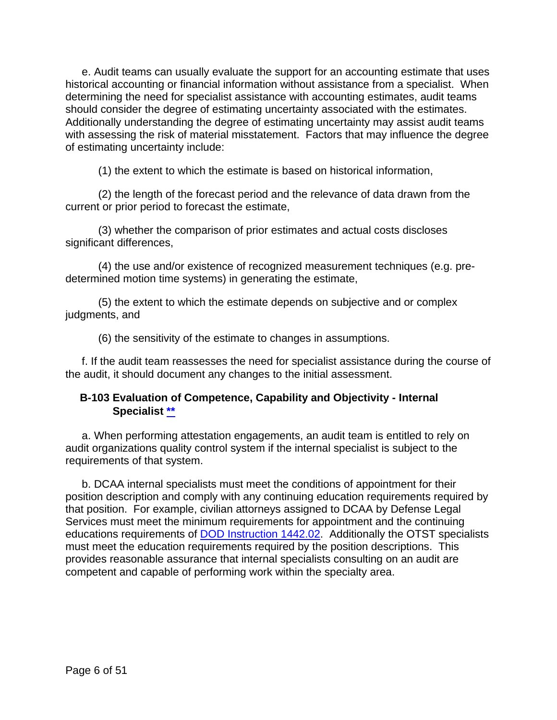e. Audit teams can usually evaluate the support for an accounting estimate that uses historical accounting or financial information without assistance from a specialist. When determining the need for specialist assistance with accounting estimates, audit teams should consider the degree of estimating uncertainty associated with the estimates. Additionally understanding the degree of estimating uncertainty may assist audit teams with assessing the risk of material misstatement. Factors that may influence the degree of estimating uncertainty include:

(1) the extent to which the estimate is based on historical information,

(2) the length of the forecast period and the relevance of data drawn from the current or prior period to forecast the estimate,

(3) whether the comparison of prior estimates and actual costs discloses significant differences,

(4) the use and/or existence of recognized measurement techniques (e.g. predetermined motion time systems) in generating the estimate,

(5) the extent to which the estimate depends on subjective and or complex judgments, and

(6) the sensitivity of the estimate to changes in assumptions.

f. If the audit team reassesses the need for specialist assistance during the course of the audit, it should document any changes to the initial assessment.

#### <span id="page-5-0"></span>**B-103 Evaluation of Competence, Capability and Objectivity - Internal Specialist [\\*\\*](#page-0-5)**

a. When performing attestation engagements, an audit team is entitled to rely on audit organizations quality control system if the internal specialist is subject to the requirements of that system.

b. DCAA internal specialists must meet the conditions of appointment for their position description and comply with any continuing education requirements required by that position. For example, civilian attorneys assigned to DCAA by Defense Legal Services must meet the minimum requirements for appointment and the continuing educations requirements of [DOD Instruction 1442.02.](https://www.esd.whs.mil/Portals/54/Documents/DD/issuances/dodi/144202p.pdf) Additionally the OTST specialists must meet the education requirements required by the position descriptions. This provides reasonable assurance that internal specialists consulting on an audit are competent and capable of performing work within the specialty area.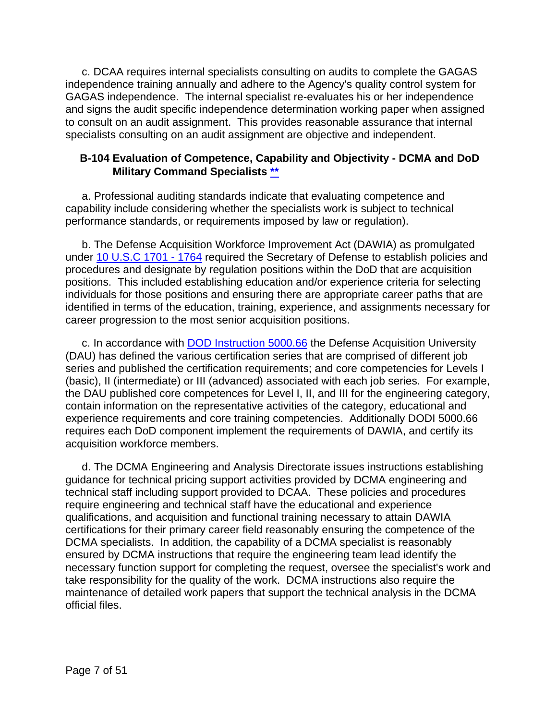c. DCAA requires internal specialists consulting on audits to complete the GAGAS independence training annually and adhere to the Agency's quality control system for GAGAS independence. The internal specialist re-evaluates his or her independence and signs the audit specific independence determination working paper when assigned to consult on an audit assignment. This provides reasonable assurance that internal specialists consulting on an audit assignment are objective and independent.

#### <span id="page-6-0"></span>**B-104 Evaluation of Competence, Capability and Objectivity - DCMA and DoD Military Command Specialists [\\*\\*](#page-0-6)**

a. Professional auditing standards indicate that evaluating competence and capability include considering whether the specialists work is subject to technical performance standards, or requirements imposed by law or regulation).

b. The Defense Acquisition Workforce Improvement Act (DAWIA) as promulgated under [10 U.S.C 1701 -](http://uscode.house.gov/view.xhtml?path=/prelim@title10/subtitleA/part2/chapter87&edition=prelim) 1764 required the Secretary of Defense to establish policies and procedures and designate by regulation positions within the DoD that are acquisition positions. This included establishing education and/or experience criteria for selecting individuals for those positions and ensuring there are appropriate career paths that are identified in terms of the education, training, experience, and assignments necessary for career progression to the most senior acquisition positions.

c. In accordance with [DOD Instruction 5000.66](https://www.esd.whs.mil/Portals/54/Documents/DD/issuances/dodi/500066.PDF?ver=2019-09-13-063647-267) the Defense Acquisition University (DAU) has defined the various certification series that are comprised of different job series and published the certification requirements; and core competencies for Levels I (basic), II (intermediate) or III (advanced) associated with each job series. For example, the DAU published core competences for Level I, II, and III for the engineering category, contain information on the representative activities of the category, educational and experience requirements and core training competencies. Additionally DODI 5000.66 requires each DoD component implement the requirements of DAWIA, and certify its acquisition workforce members.

d. The DCMA Engineering and Analysis Directorate issues instructions establishing guidance for technical pricing support activities provided by DCMA engineering and technical staff including support provided to DCAA. These policies and procedures require engineering and technical staff have the educational and experience qualifications, and acquisition and functional training necessary to attain DAWIA certifications for their primary career field reasonably ensuring the competence of the DCMA specialists. In addition, the capability of a DCMA specialist is reasonably ensured by DCMA instructions that require the engineering team lead identify the necessary function support for completing the request, oversee the specialist's work and take responsibility for the quality of the work. DCMA instructions also require the maintenance of detailed work papers that support the technical analysis in the DCMA official files.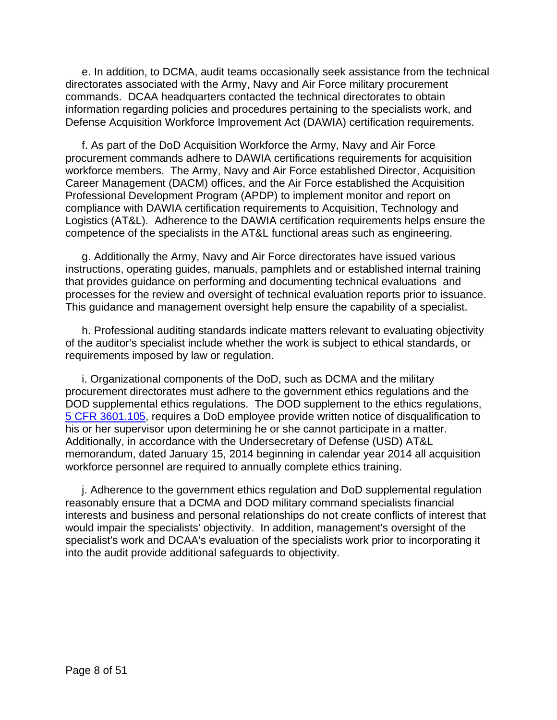e. In addition, to DCMA, audit teams occasionally seek assistance from the technical directorates associated with the Army, Navy and Air Force military procurement commands. DCAA headquarters contacted the technical directorates to obtain information regarding policies and procedures pertaining to the specialists work, and Defense Acquisition Workforce Improvement Act (DAWIA) certification requirements.

f. As part of the DoD Acquisition Workforce the Army, Navy and Air Force procurement commands adhere to DAWIA certifications requirements for acquisition workforce members. The Army, Navy and Air Force established Director, Acquisition Career Management (DACM) offices, and the Air Force established the Acquisition Professional Development Program (APDP) to implement monitor and report on compliance with DAWIA certification requirements to Acquisition, Technology and Logistics (AT&L). Adherence to the DAWIA certification requirements helps ensure the competence of the specialists in the AT&L functional areas such as engineering.

g. Additionally the Army, Navy and Air Force directorates have issued various instructions, operating guides, manuals, pamphlets and or established internal training that provides guidance on performing and documenting technical evaluations and processes for the review and oversight of technical evaluation reports prior to issuance. This guidance and management oversight help ensure the capability of a specialist.

h. Professional auditing standards indicate matters relevant to evaluating objectivity of the auditor's specialist include whether the work is subject to ethical standards, or requirements imposed by law or regulation.

i. Organizational components of the DoD, such as DCMA and the military procurement directorates must adhere to the government ethics regulations and the DOD supplemental ethics regulations. The DOD supplement to the ethics regulations, 5 [CFR 3601.105,](https://www.gpo.gov/fdsys/pkg/CFR-2011-title5-vol3/pdf/CFR-2011-title5-vol3-sec3601-105.pdf) requires a DoD employee provide written notice of disqualification to his or her supervisor upon determining he or she cannot participate in a matter. Additionally, in accordance with the Undersecretary of Defense (USD) AT&L memorandum, dated January 15, 2014 beginning in calendar year 2014 all acquisition workforce personnel are required to annually complete ethics training.

j. Adherence to the government ethics regulation and DoD supplemental regulation reasonably ensure that a DCMA and DOD military command specialists financial interests and business and personal relationships do not create conflicts of interest that would impair the specialists' objectivity. In addition, management's oversight of the specialist's work and DCAA's evaluation of the specialists work prior to incorporating it into the audit provide additional safeguards to objectivity.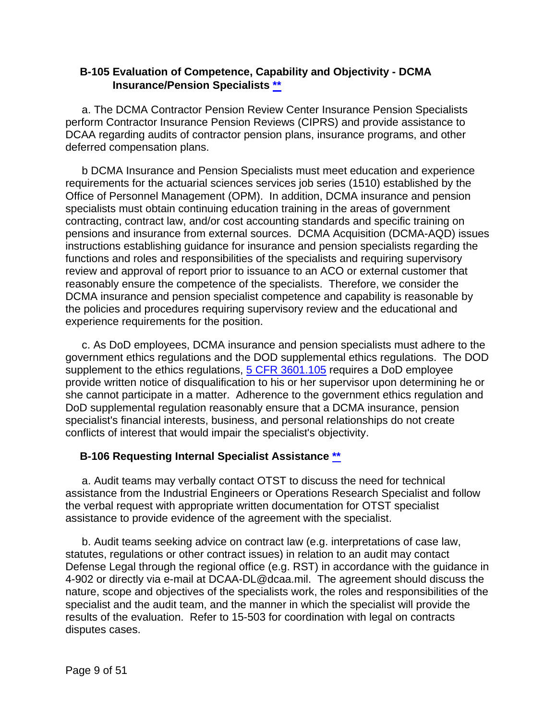#### <span id="page-8-0"></span>**B-105 Evaluation of Competence, Capability and Objectivity - DCMA Insurance/Pension Specialists [\\*\\*](#page-0-7)**

a. The DCMA Contractor Pension Review Center Insurance Pension Specialists perform Contractor Insurance Pension Reviews (CIPRS) and provide assistance to DCAA regarding audits of contractor pension plans, insurance programs, and other deferred compensation plans.

b DCMA Insurance and Pension Specialists must meet education and experience requirements for the actuarial sciences services job series (1510) established by the Office of Personnel Management (OPM). In addition, DCMA insurance and pension specialists must obtain continuing education training in the areas of government contracting, contract law, and/or cost accounting standards and specific training on pensions and insurance from external sources. DCMA Acquisition (DCMA-AQD) issues instructions establishing guidance for insurance and pension specialists regarding the functions and roles and responsibilities of the specialists and requiring supervisory review and approval of report prior to issuance to an ACO or external customer that reasonably ensure the competence of the specialists. Therefore, we consider the DCMA insurance and pension specialist competence and capability is reasonable by the policies and procedures requiring supervisory review and the educational and experience requirements for the position.

c. As DoD employees, DCMA insurance and pension specialists must adhere to the government ethics regulations and the DOD supplemental ethics regulations. The DOD supplement to the ethics regulations, **5 CFR 3601.105** requires a DoD employee provide written notice of disqualification to his or her supervisor upon determining he or she cannot participate in a matter. Adherence to the government ethics regulation and DoD supplemental regulation reasonably ensure that a DCMA insurance, pension specialist's financial interests, business, and personal relationships do not create conflicts of interest that would impair the specialist's objectivity.

#### <span id="page-8-1"></span>**B-106 Requesting Internal Specialist Assistance [\\*\\*](#page-0-8)**

a. Audit teams may verbally contact OTST to discuss the need for technical assistance from the Industrial Engineers or Operations Research Specialist and follow the verbal request with appropriate written documentation for OTST specialist assistance to provide evidence of the agreement with the specialist.

b. Audit teams seeking advice on contract law (e.g. interpretations of case law, statutes, regulations or other contract issues) in relation to an audit may contact Defense Legal through the regional office (e.g. RST) in accordance with the guidance in 4-902 or directly via e-mail at DCAA-DL@dcaa.mil. The agreement should discuss the nature, scope and objectives of the specialists work, the roles and responsibilities of the specialist and the audit team, and the manner in which the specialist will provide the results of the evaluation. Refer to 15-503 for coordination with legal on contracts disputes cases.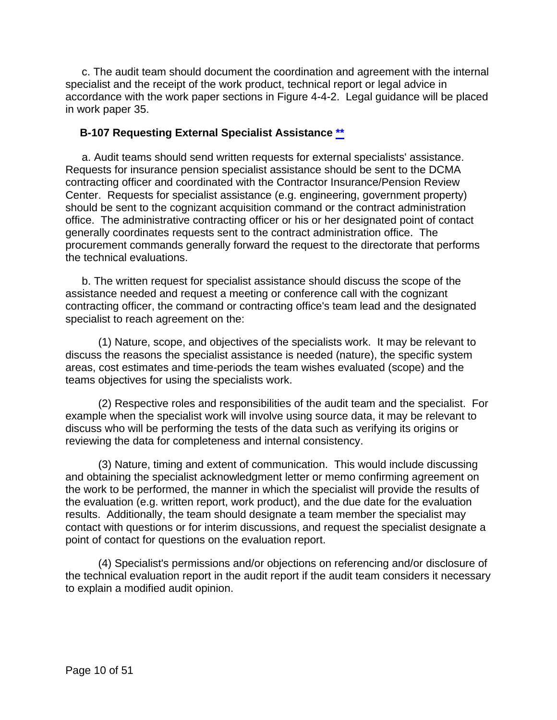c. The audit team should document the coordination and agreement with the internal specialist and the receipt of the work product, technical report or legal advice in accordance with the work paper sections in Figure 4-4-2. Legal guidance will be placed in work paper 35.

#### <span id="page-9-0"></span>**B-107 Requesting External Specialist Assistance [\\*\\*](#page-0-9)**

a. Audit teams should send written requests for external specialists' assistance. Requests for insurance pension specialist assistance should be sent to the DCMA contracting officer and coordinated with the Contractor Insurance/Pension Review Center. Requests for specialist assistance (e.g. engineering, government property) should be sent to the cognizant acquisition command or the contract administration office. The administrative contracting officer or his or her designated point of contact generally coordinates requests sent to the contract administration office. The procurement commands generally forward the request to the directorate that performs the technical evaluations.

b. The written request for specialist assistance should discuss the scope of the assistance needed and request a meeting or conference call with the cognizant contracting officer, the command or contracting office's team lead and the designated specialist to reach agreement on the:

(1) Nature, scope, and objectives of the specialists work. It may be relevant to discuss the reasons the specialist assistance is needed (nature), the specific system areas, cost estimates and time-periods the team wishes evaluated (scope) and the teams objectives for using the specialists work.

(2) Respective roles and responsibilities of the audit team and the specialist. For example when the specialist work will involve using source data, it may be relevant to discuss who will be performing the tests of the data such as verifying its origins or reviewing the data for completeness and internal consistency.

(3) Nature, timing and extent of communication. This would include discussing and obtaining the specialist acknowledgment letter or memo confirming agreement on the work to be performed, the manner in which the specialist will provide the results of the evaluation (e.g. written report, work product), and the due date for the evaluation results. Additionally, the team should designate a team member the specialist may contact with questions or for interim discussions, and request the specialist designate a point of contact for questions on the evaluation report.

(4) Specialist's permissions and/or objections on referencing and/or disclosure of the technical evaluation report in the audit report if the audit team considers it necessary to explain a modified audit opinion.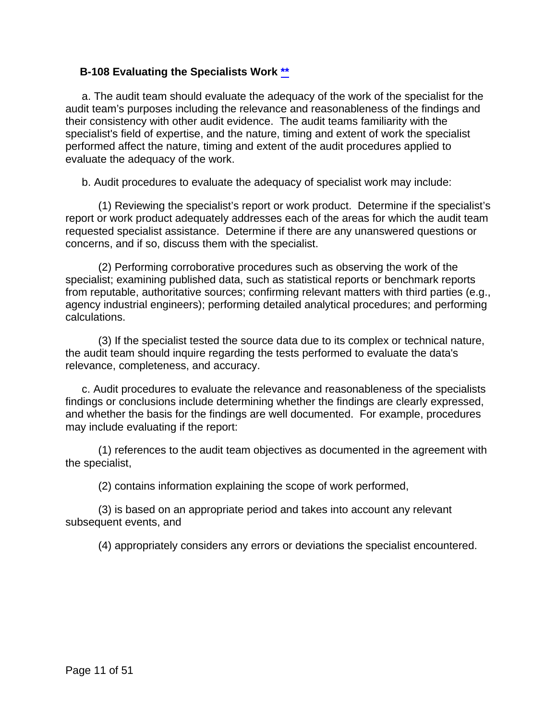#### <span id="page-10-0"></span>**B-108 Evaluating the Specialists Work [\\*\\*](#page-0-10)**

a. The audit team should evaluate the adequacy of the work of the specialist for the audit team's purposes including the relevance and reasonableness of the findings and their consistency with other audit evidence. The audit teams familiarity with the specialist's field of expertise, and the nature, timing and extent of work the specialist performed affect the nature, timing and extent of the audit procedures applied to evaluate the adequacy of the work.

b. Audit procedures to evaluate the adequacy of specialist work may include:

(1) Reviewing the specialist's report or work product. Determine if the specialist's report or work product adequately addresses each of the areas for which the audit team requested specialist assistance. Determine if there are any unanswered questions or concerns, and if so, discuss them with the specialist.

(2) Performing corroborative procedures such as observing the work of the specialist; examining published data, such as statistical reports or benchmark reports from reputable, authoritative sources; confirming relevant matters with third parties (e.g., agency industrial engineers); performing detailed analytical procedures; and performing calculations.

(3) If the specialist tested the source data due to its complex or technical nature, the audit team should inquire regarding the tests performed to evaluate the data's relevance, completeness, and accuracy.

c. Audit procedures to evaluate the relevance and reasonableness of the specialists findings or conclusions include determining whether the findings are clearly expressed, and whether the basis for the findings are well documented. For example, procedures may include evaluating if the report:

(1) references to the audit team objectives as documented in the agreement with the specialist,

(2) contains information explaining the scope of work performed,

(3) is based on an appropriate period and takes into account any relevant subsequent events, and

(4) appropriately considers any errors or deviations the specialist encountered.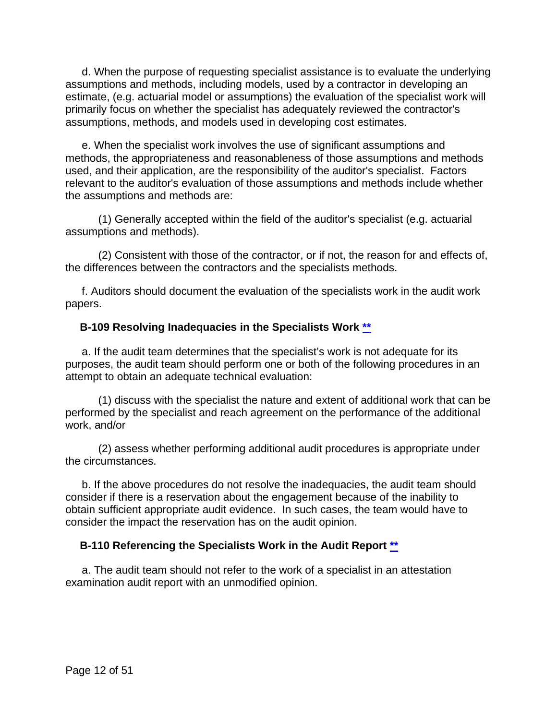d. When the purpose of requesting specialist assistance is to evaluate the underlying assumptions and methods, including models, used by a contractor in developing an estimate, (e.g. actuarial model or assumptions) the evaluation of the specialist work will primarily focus on whether the specialist has adequately reviewed the contractor's assumptions, methods, and models used in developing cost estimates.

e. When the specialist work involves the use of significant assumptions and methods, the appropriateness and reasonableness of those assumptions and methods used, and their application, are the responsibility of the auditor's specialist. Factors relevant to the auditor's evaluation of those assumptions and methods include whether the assumptions and methods are:

(1) Generally accepted within the field of the auditor's specialist (e.g. actuarial assumptions and methods).

(2) Consistent with those of the contractor, or if not, the reason for and effects of, the differences between the contractors and the specialists methods.

f. Auditors should document the evaluation of the specialists work in the audit work papers.

#### <span id="page-11-0"></span>**B-109 Resolving Inadequacies in the Specialists Work [\\*\\*](#page-0-11)**

a. If the audit team determines that the specialist's work is not adequate for its purposes, the audit team should perform one or both of the following procedures in an attempt to obtain an adequate technical evaluation:

(1) discuss with the specialist the nature and extent of additional work that can be performed by the specialist and reach agreement on the performance of the additional work, and/or

(2) assess whether performing additional audit procedures is appropriate under the circumstances.

b. If the above procedures do not resolve the inadequacies, the audit team should consider if there is a reservation about the engagement because of the inability to obtain sufficient appropriate audit evidence. In such cases, the team would have to consider the impact the reservation has on the audit opinion.

#### <span id="page-11-1"></span>**B-110 Referencing the Specialists Work in the Audit Report [\\*\\*](#page-0-12)**

a. The audit team should not refer to the work of a specialist in an attestation examination audit report with an unmodified opinion.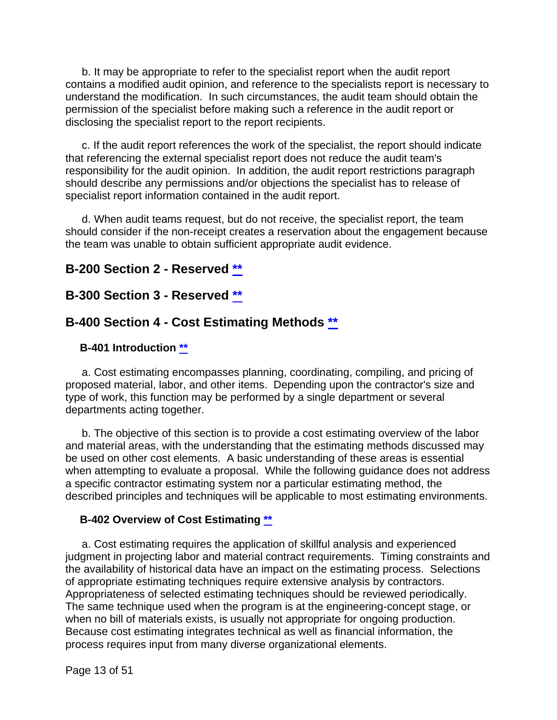b. It may be appropriate to refer to the specialist report when the audit report contains a modified audit opinion, and reference to the specialists report is necessary to understand the modification. In such circumstances, the audit team should obtain the permission of the specialist before making such a reference in the audit report or disclosing the specialist report to the report recipients.

c. If the audit report references the work of the specialist, the report should indicate that referencing the external specialist report does not reduce the audit team's responsibility for the audit opinion. In addition, the audit report restrictions paragraph should describe any permissions and/or objections the specialist has to release of specialist report information contained in the audit report.

d. When audit teams request, but do not receive, the specialist report, the team should consider if the non-receipt creates a reservation about the engagement because the team was unable to obtain sufficient appropriate audit evidence.

#### <span id="page-12-0"></span>**B-200 Section 2 - Reserved [\\*\\*](#page-0-13)**

#### <span id="page-12-1"></span>**B-300 Section 3 - Reserved [\\*\\*](#page-0-14)**

#### <span id="page-12-2"></span>**B-400 Section 4 - Cost Estimating Methods [\\*\\*](#page-1-1)**

#### <span id="page-12-3"></span>**B-401 Introduction [\\*\\*](#page-1-2)**

a. Cost estimating encompasses planning, coordinating, compiling, and pricing of proposed material, labor, and other items. Depending upon the contractor's size and type of work, this function may be performed by a single department or several departments acting together.

b. The objective of this section is to provide a cost estimating overview of the labor and material areas, with the understanding that the estimating methods discussed may be used on other cost elements. A basic understanding of these areas is essential when attempting to evaluate a proposal. While the following guidance does not address a specific contractor estimating system nor a particular estimating method, the described principles and techniques will be applicable to most estimating environments.

#### <span id="page-12-4"></span>**B-402 Overview of Cost Estimating [\\*\\*](#page-1-3)**

a. Cost estimating requires the application of skillful analysis and experienced judgment in projecting labor and material contract requirements. Timing constraints and the availability of historical data have an impact on the estimating process. Selections of appropriate estimating techniques require extensive analysis by contractors. Appropriateness of selected estimating techniques should be reviewed periodically. The same technique used when the program is at the engineering-concept stage, or when no bill of materials exists, is usually not appropriate for ongoing production. Because cost estimating integrates technical as well as financial information, the process requires input from many diverse organizational elements.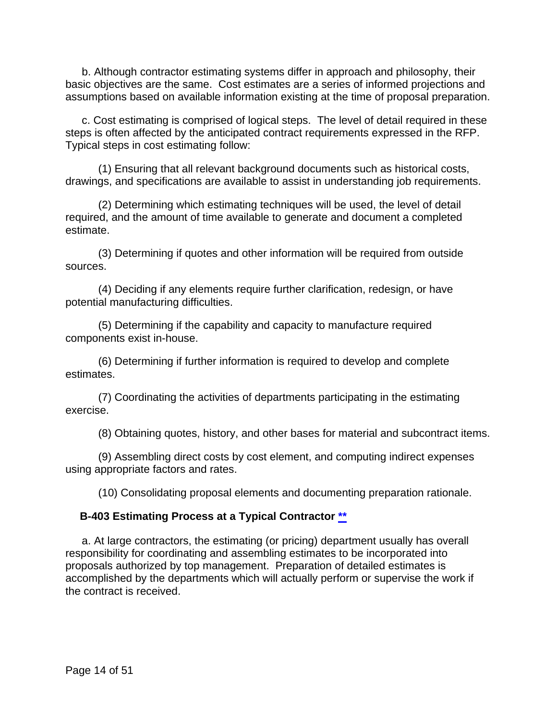b. Although contractor estimating systems differ in approach and philosophy, their basic objectives are the same. Cost estimates are a series of informed projections and assumptions based on available information existing at the time of proposal preparation.

c. Cost estimating is comprised of logical steps. The level of detail required in these steps is often affected by the anticipated contract requirements expressed in the RFP. Typical steps in cost estimating follow:

(1) Ensuring that all relevant background documents such as historical costs, drawings, and specifications are available to assist in understanding job requirements.

(2) Determining which estimating techniques will be used, the level of detail required, and the amount of time available to generate and document a completed estimate.

(3) Determining if quotes and other information will be required from outside sources.

(4) Deciding if any elements require further clarification, redesign, or have potential manufacturing difficulties.

(5) Determining if the capability and capacity to manufacture required components exist in-house.

(6) Determining if further information is required to develop and complete estimates.

(7) Coordinating the activities of departments participating in the estimating exercise.

(8) Obtaining quotes, history, and other bases for material and subcontract items.

(9) Assembling direct costs by cost element, and computing indirect expenses using appropriate factors and rates.

(10) Consolidating proposal elements and documenting preparation rationale.

#### <span id="page-13-0"></span>**B-403 Estimating Process at a Typical Contractor [\\*\\*](#page-1-4)**

a. At large contractors, the estimating (or pricing) department usually has overall responsibility for coordinating and assembling estimates to be incorporated into proposals authorized by top management. Preparation of detailed estimates is accomplished by the departments which will actually perform or supervise the work if the contract is received.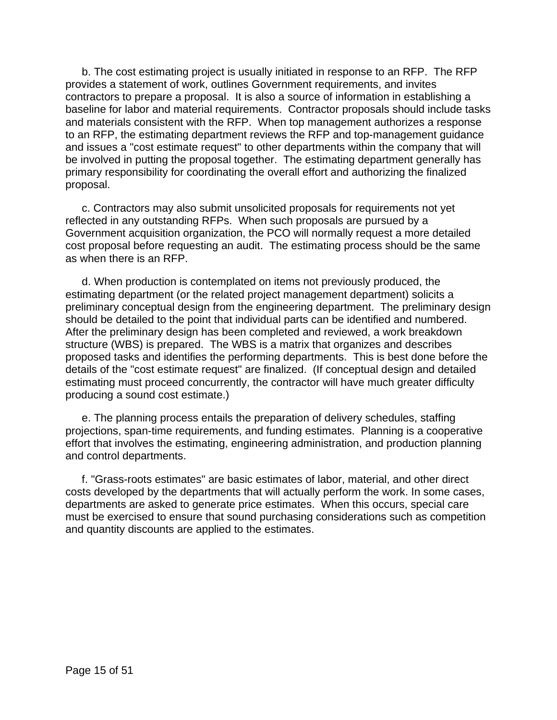b. The cost estimating project is usually initiated in response to an RFP. The RFP provides a statement of work, outlines Government requirements, and invites contractors to prepare a proposal. It is also a source of information in establishing a baseline for labor and material requirements. Contractor proposals should include tasks and materials consistent with the RFP. When top management authorizes a response to an RFP, the estimating department reviews the RFP and top-management guidance and issues a "cost estimate request" to other departments within the company that will be involved in putting the proposal together. The estimating department generally has primary responsibility for coordinating the overall effort and authorizing the finalized proposal.

c. Contractors may also submit unsolicited proposals for requirements not yet reflected in any outstanding RFPs. When such proposals are pursued by a Government acquisition organization, the PCO will normally request a more detailed cost proposal before requesting an audit. The estimating process should be the same as when there is an RFP.

d. When production is contemplated on items not previously produced, the estimating department (or the related project management department) solicits a preliminary conceptual design from the engineering department. The preliminary design should be detailed to the point that individual parts can be identified and numbered. After the preliminary design has been completed and reviewed, a work breakdown structure (WBS) is prepared. The WBS is a matrix that organizes and describes proposed tasks and identifies the performing departments. This is best done before the details of the "cost estimate request" are finalized. (If conceptual design and detailed estimating must proceed concurrently, the contractor will have much greater difficulty producing a sound cost estimate.)

e. The planning process entails the preparation of delivery schedules, staffing projections, span-time requirements, and funding estimates. Planning is a cooperative effort that involves the estimating, engineering administration, and production planning and control departments.

f. "Grass-roots estimates" are basic estimates of labor, material, and other direct costs developed by the departments that will actually perform the work. In some cases, departments are asked to generate price estimates. When this occurs, special care must be exercised to ensure that sound purchasing considerations such as competition and quantity discounts are applied to the estimates.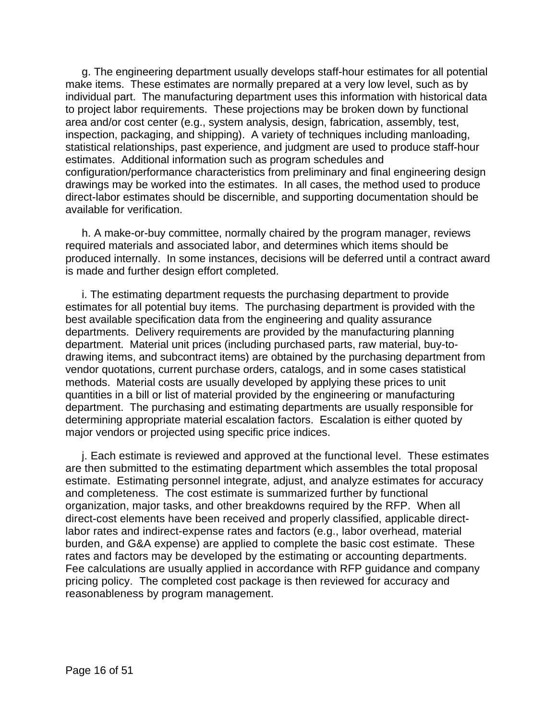g. The engineering department usually develops staff-hour estimates for all potential make items. These estimates are normally prepared at a very low level, such as by individual part. The manufacturing department uses this information with historical data to project labor requirements. These projections may be broken down by functional area and/or cost center (e.g., system analysis, design, fabrication, assembly, test, inspection, packaging, and shipping). A variety of techniques including manloading, statistical relationships, past experience, and judgment are used to produce staff-hour estimates. Additional information such as program schedules and configuration/performance characteristics from preliminary and final engineering design drawings may be worked into the estimates. In all cases, the method used to produce direct-labor estimates should be discernible, and supporting documentation should be available for verification.

h. A make-or-buy committee, normally chaired by the program manager, reviews required materials and associated labor, and determines which items should be produced internally. In some instances, decisions will be deferred until a contract award is made and further design effort completed.

i. The estimating department requests the purchasing department to provide estimates for all potential buy items. The purchasing department is provided with the best available specification data from the engineering and quality assurance departments. Delivery requirements are provided by the manufacturing planning department. Material unit prices (including purchased parts, raw material, buy-todrawing items, and subcontract items) are obtained by the purchasing department from vendor quotations, current purchase orders, catalogs, and in some cases statistical methods. Material costs are usually developed by applying these prices to unit quantities in a bill or list of material provided by the engineering or manufacturing department. The purchasing and estimating departments are usually responsible for determining appropriate material escalation factors. Escalation is either quoted by major vendors or projected using specific price indices.

j. Each estimate is reviewed and approved at the functional level. These estimates are then submitted to the estimating department which assembles the total proposal estimate. Estimating personnel integrate, adjust, and analyze estimates for accuracy and completeness. The cost estimate is summarized further by functional organization, major tasks, and other breakdowns required by the RFP. When all direct-cost elements have been received and properly classified, applicable directlabor rates and indirect-expense rates and factors (e.g., labor overhead, material burden, and G&A expense) are applied to complete the basic cost estimate. These rates and factors may be developed by the estimating or accounting departments. Fee calculations are usually applied in accordance with RFP guidance and company pricing policy. The completed cost package is then reviewed for accuracy and reasonableness by program management.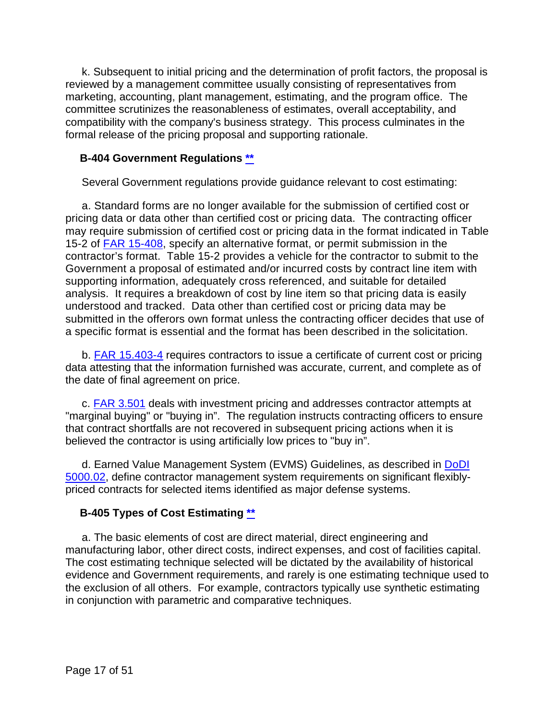k. Subsequent to initial pricing and the determination of profit factors, the proposal is reviewed by a management committee usually consisting of representatives from marketing, accounting, plant management, estimating, and the program office. The committee scrutinizes the reasonableness of estimates, overall acceptability, and compatibility with the company's business strategy. This process culminates in the formal release of the pricing proposal and supporting rationale.

#### <span id="page-16-0"></span>**B-404 Government Regulations [\\*\\*](#page-1-5)**

Several Government regulations provide guidance relevant to cost estimating:

a. Standard forms are no longer available for the submission of certified cost or pricing data or data other than certified cost or pricing data. The contracting officer may require submission of certified cost or pricing data in the format indicated in Table 15-2 of [FAR 15-408,](http://162.140.57.127/cgi-bin/text-idx?SID=de43148619bd962c154c4070521ea0ed&mc=true&node=se48.1.15_1408&rgn=div8) specify an alternative format, or permit submission in the contractor's format. Table 15-2 provides a vehicle for the contractor to submit to the Government a proposal of estimated and/or incurred costs by contract line item with supporting information, adequately cross referenced, and suitable for detailed analysis. It requires a breakdown of cost by line item so that pricing data is easily understood and tracked. Data other than certified cost or pricing data may be submitted in the offerors own format unless the contracting officer decides that use of a specific format is essential and the format has been described in the solicitation.

b. **FAR 15.403-4** requires contractors to issue a certificate of current cost or pricing data attesting that the information furnished was accurate, current, and complete as of the date of final agreement on price.

c. **FAR 3.501** deals with investment pricing and addresses contractor attempts at "marginal buying" or "buying in". The regulation instructs contracting officers to ensure that contract shortfalls are not recovered in subsequent pricing actions when it is believed the contractor is using artificially low prices to "buy in".

d. Earned Value Management System (EVMS) Guidelines, as described in **DoDI** [5000.02,](https://www.esd.whs.mil/Portals/54/Documents/DD/issuances/dodi/500002p.pdf?ver=2020-01-23-144114-093) define contractor management system requirements on significant flexiblypriced contracts for selected items identified as major defense systems.

#### <span id="page-16-1"></span>**B-405 Types of Cost Estimating [\\*\\*](#page-1-6)**

a. The basic elements of cost are direct material, direct engineering and manufacturing labor, other direct costs, indirect expenses, and cost of facilities capital. The cost estimating technique selected will be dictated by the availability of historical evidence and Government requirements, and rarely is one estimating technique used to the exclusion of all others. For example, contractors typically use synthetic estimating in conjunction with parametric and comparative techniques.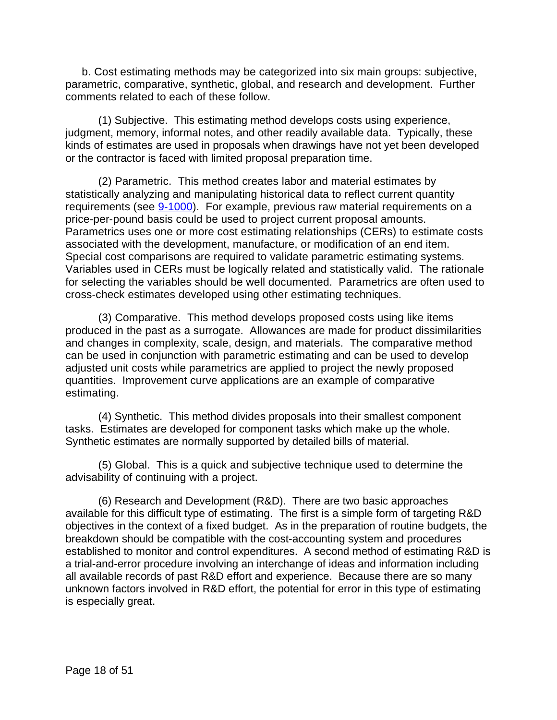b. Cost estimating methods may be categorized into six main groups: subjective, parametric, comparative, synthetic, global, and research and development. Further comments related to each of these follow.

(1) Subjective. This estimating method develops costs using experience, judgment, memory, informal notes, and other readily available data. Typically, these kinds of estimates are used in proposals when drawings have not yet been developed or the contractor is faced with limited proposal preparation time.

(2) Parametric. This method creates labor and material estimates by statistically analyzing and manipulating historical data to reflect current quantity requirements (see [9-1000\)](https://viper.dcaa.mil/guidance/cam/3144/audits-of-cost-estimating-and-pricing-proposals#Sec91000). For example, previous raw material requirements on a price-per-pound basis could be used to project current proposal amounts. Parametrics uses one or more cost estimating relationships (CERs) to estimate costs associated with the development, manufacture, or modification of an end item. Special cost comparisons are required to validate parametric estimating systems. Variables used in CERs must be logically related and statistically valid. The rationale for selecting the variables should be well documented. Parametrics are often used to cross-check estimates developed using other estimating techniques.

(3) Comparative. This method develops proposed costs using like items produced in the past as a surrogate. Allowances are made for product dissimilarities and changes in complexity, scale, design, and materials. The comparative method can be used in conjunction with parametric estimating and can be used to develop adjusted unit costs while parametrics are applied to project the newly proposed quantities. Improvement curve applications are an example of comparative estimating.

(4) Synthetic. This method divides proposals into their smallest component tasks. Estimates are developed for component tasks which make up the whole. Synthetic estimates are normally supported by detailed bills of material.

(5) Global. This is a quick and subjective technique used to determine the advisability of continuing with a project.

(6) Research and Development (R&D). There are two basic approaches available for this difficult type of estimating. The first is a simple form of targeting R&D objectives in the context of a fixed budget. As in the preparation of routine budgets, the breakdown should be compatible with the cost-accounting system and procedures established to monitor and control expenditures. A second method of estimating R&D is a trial-and-error procedure involving an interchange of ideas and information including all available records of past R&D effort and experience. Because there are so many unknown factors involved in R&D effort, the potential for error in this type of estimating is especially great.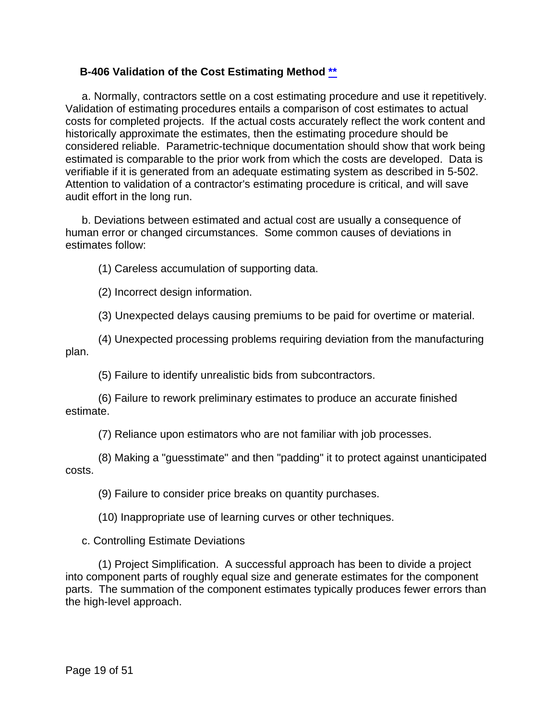#### <span id="page-18-0"></span>**B-406 Validation of the Cost Estimating Method [\\*\\*](#page-1-7)**

a. Normally, contractors settle on a cost estimating procedure and use it repetitively. Validation of estimating procedures entails a comparison of cost estimates to actual costs for completed projects. If the actual costs accurately reflect the work content and historically approximate the estimates, then the estimating procedure should be considered reliable. Parametric-technique documentation should show that work being estimated is comparable to the prior work from which the costs are developed. Data is verifiable if it is generated from an adequate estimating system as described in 5-502. Attention to validation of a contractor's estimating procedure is critical, and will save audit effort in the long run.

b. Deviations between estimated and actual cost are usually a consequence of human error or changed circumstances. Some common causes of deviations in estimates follow:

(1) Careless accumulation of supporting data.

(2) Incorrect design information.

(3) Unexpected delays causing premiums to be paid for overtime or material.

(4) Unexpected processing problems requiring deviation from the manufacturing plan.

(5) Failure to identify unrealistic bids from subcontractors.

(6) Failure to rework preliminary estimates to produce an accurate finished estimate.

(7) Reliance upon estimators who are not familiar with job processes.

(8) Making a "guesstimate" and then "padding" it to protect against unanticipated costs.

(9) Failure to consider price breaks on quantity purchases.

(10) Inappropriate use of learning curves or other techniques.

c. Controlling Estimate Deviations

(1) Project Simplification. A successful approach has been to divide a project into component parts of roughly equal size and generate estimates for the component parts. The summation of the component estimates typically produces fewer errors than the high-level approach.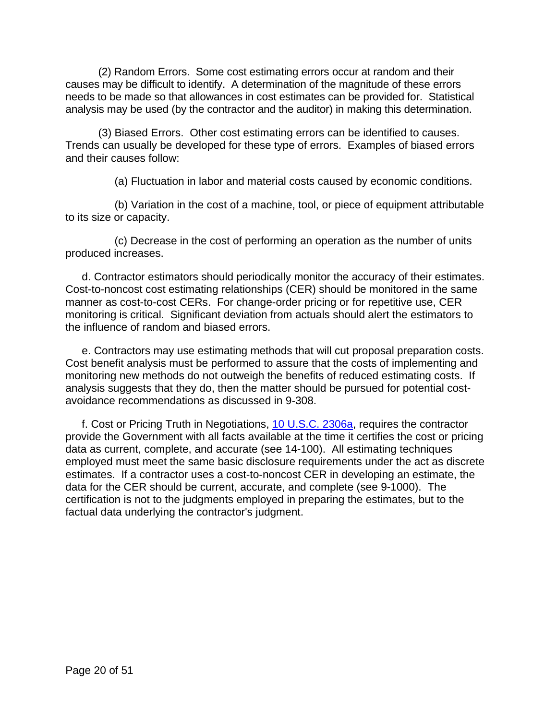(2) Random Errors. Some cost estimating errors occur at random and their causes may be difficult to identify. A determination of the magnitude of these errors needs to be made so that allowances in cost estimates can be provided for. Statistical analysis may be used (by the contractor and the auditor) in making this determination.

(3) Biased Errors. Other cost estimating errors can be identified to causes. Trends can usually be developed for these type of errors. Examples of biased errors and their causes follow:

(a) Fluctuation in labor and material costs caused by economic conditions.

(b) Variation in the cost of a machine, tool, or piece of equipment attributable to its size or capacity.

(c) Decrease in the cost of performing an operation as the number of units produced increases.

d. Contractor estimators should periodically monitor the accuracy of their estimates. Cost-to-noncost cost estimating relationships (CER) should be monitored in the same manner as cost-to-cost CERs. For change-order pricing or for repetitive use, CER monitoring is critical. Significant deviation from actuals should alert the estimators to the influence of random and biased errors.

e. Contractors may use estimating methods that will cut proposal preparation costs. Cost benefit analysis must be performed to assure that the costs of implementing and monitoring new methods do not outweigh the benefits of reduced estimating costs. If analysis suggests that they do, then the matter should be pursued for potential costavoidance recommendations as discussed in 9-308.

<span id="page-19-0"></span>f. Cost or Pricing Truth in Negotiations, [10 U.S.C. 2306a,](http://uscode.house.gov/view.xhtml?req=(title:10%20section:2306a%20edition:prelim)%20OR%20(granuleid:USC-prelim-title10-section2306a)&f=treesort&edition=prelim&num=0&jumpTo=true) requires the contractor provide the Government with all facts available at the time it certifies the cost or pricing data as current, complete, and accurate (see 14-100). All estimating techniques employed must meet the same basic disclosure requirements under the act as discrete estimates. If a contractor uses a cost-to-noncost CER in developing an estimate, the data for the CER should be current, accurate, and complete (see 9-1000). The certification is not to the judgments employed in preparing the estimates, but to the factual data underlying the contractor's judgment.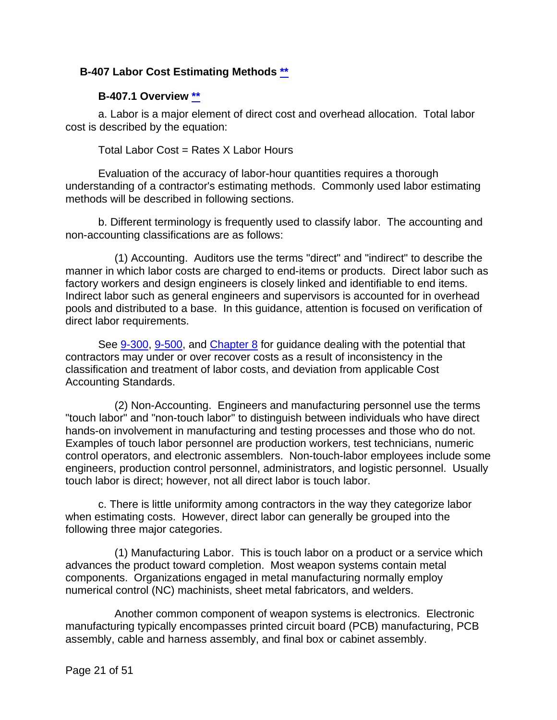#### **B-407 Labor Cost Estimating Methods [\\*\\*](#page-1-8)**

#### **B-407.1 Overview [\\*\\*](#page-1-9)**

<span id="page-20-0"></span>a. Labor is a major element of direct cost and overhead allocation. Total labor cost is described by the equation:

Total Labor Cost = Rates X Labor Hours

Evaluation of the accuracy of labor-hour quantities requires a thorough understanding of a contractor's estimating methods. Commonly used labor estimating methods will be described in following sections.

b. Different terminology is frequently used to classify labor. The accounting and non-accounting classifications are as follows:

(1) Accounting. Auditors use the terms "direct" and "indirect" to describe the manner in which labor costs are charged to end-items or products. Direct labor such as factory workers and design engineers is closely linked and identifiable to end items. Indirect labor such as general engineers and supervisors is accounted for in overhead pools and distributed to a base. In this guidance, attention is focused on verification of direct labor requirements.

See [9-300,](https://viper.dcaa.mil/guidance/cam/3144/audits-of-cost-estimating-and-pricing-proposals#Sec9300) [9-500,](https://viper.dcaa.mil/guidance/cam/3144/audits-of-cost-estimating-and-pricing-proposals#Sec9500) and [Chapter 8](https://viper.dcaa.mil/guidance/cam/3141/cost-accounting-standards#Section) for guidance dealing with the potential that contractors may under or over recover costs as a result of inconsistency in the classification and treatment of labor costs, and deviation from applicable Cost Accounting Standards.

(2) Non-Accounting. Engineers and manufacturing personnel use the terms "touch labor" and "non-touch labor" to distinguish between individuals who have direct hands-on involvement in manufacturing and testing processes and those who do not. Examples of touch labor personnel are production workers, test technicians, numeric control operators, and electronic assemblers. Non-touch-labor employees include some engineers, production control personnel, administrators, and logistic personnel. Usually touch labor is direct; however, not all direct labor is touch labor.

c. There is little uniformity among contractors in the way they categorize labor when estimating costs. However, direct labor can generally be grouped into the following three major categories.

(1) Manufacturing Labor. This is touch labor on a product or a service which advances the product toward completion. Most weapon systems contain metal components. Organizations engaged in metal manufacturing normally employ numerical control (NC) machinists, sheet metal fabricators, and welders.

Another common component of weapon systems is electronics. Electronic manufacturing typically encompasses printed circuit board (PCB) manufacturing, PCB assembly, cable and harness assembly, and final box or cabinet assembly.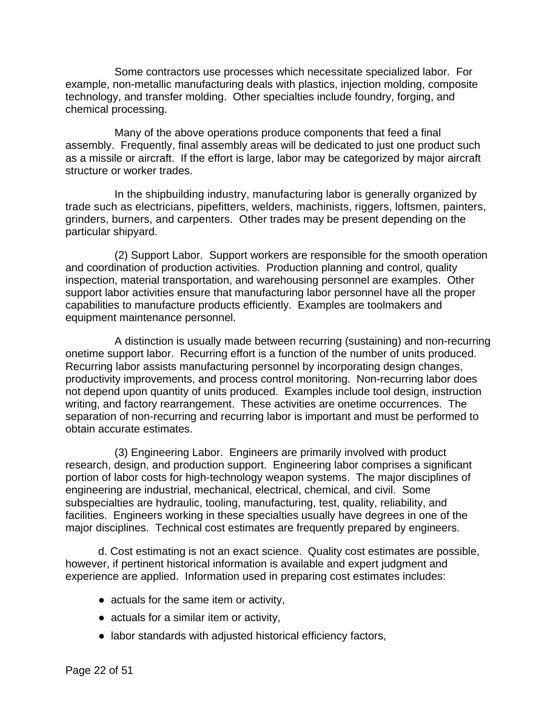Some contractors use processes which necessitate specialized labor. For example, non-metallic manufacturing deals with plastics, injection molding, composite technology, and transfer molding. Other specialties include foundry, forging, and chemical processing.

Many of the above operations produce components that feed a final assembly. Frequently, final assembly areas will be dedicated to just one product such as a missile or aircraft. If the effort is large, labor may be categorized by major aircraft structure or worker trades.

In the shipbuilding industry, manufacturing labor is generally organized by trade such as electricians, pipefitters, welders, machinists, riggers, loftsmen, painters, grinders, burners, and carpenters. Other trades may be present depending on the particular shipyard.

(2) Support Labor. Support workers are responsible for the smooth operation and coordination of production activities. Production planning and control, quality inspection, material transportation, and warehousing personnel are examples. Other support labor activities ensure that manufacturing labor personnel have all the proper capabilities to manufacture products efficiently. Examples are toolmakers and equipment maintenance personnel.

A distinction is usually made between recurring (sustaining) and non-recurring onetime support labor. Recurring effort is a function of the number of units produced. Recurring labor assists manufacturing personnel by incorporating design changes, productivity improvements, and process control monitoring. Non-recurring labor does not depend upon quantity of units produced. Examples include tool design, instruction writing, and factory rearrangement. These activities are onetime occurrences. The separation of non-recurring and recurring labor is important and must be performed to obtain accurate estimates.

(3) Engineering Labor. Engineers are primarily involved with product research, design, and production support. Engineering labor comprises a significant portion of labor costs for high-technology weapon systems. The major disciplines of engineering are industrial, mechanical, electrical, chemical, and civil. Some subspecialties are hydraulic, tooling, manufacturing, test, quality, reliability, and facilities. Engineers working in these specialties usually have degrees in one of the major disciplines. Technical cost estimates are frequently prepared by engineers.

d. Cost estimating is not an exact science. Quality cost estimates are possible, however, if pertinent historical information is available and expert judgment and experience are applied. Information used in preparing cost estimates includes:

- actuals for the same item or activity,
- actuals for a similar item or activity,
- labor standards with adjusted historical efficiency factors,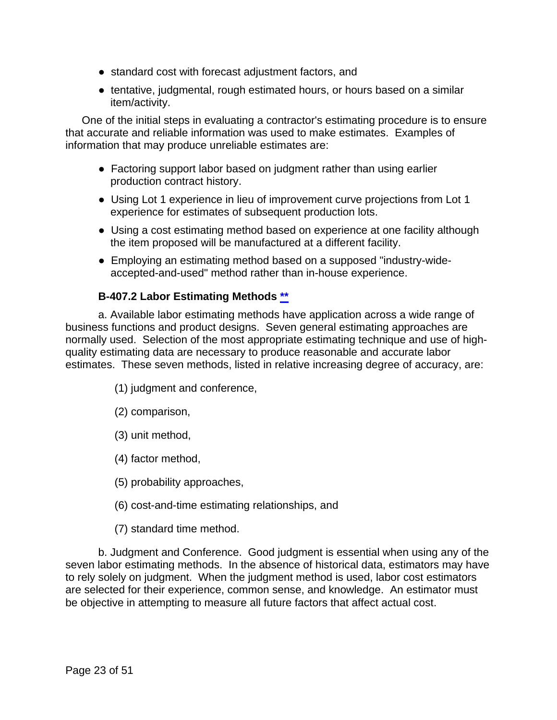- standard cost with forecast adjustment factors, and
- tentative, judgmental, rough estimated hours, or hours based on a similar item/activity.

One of the initial steps in evaluating a contractor's estimating procedure is to ensure that accurate and reliable information was used to make estimates. Examples of information that may produce unreliable estimates are:

- Factoring support labor based on judgment rather than using earlier production contract history.
- Using Lot 1 experience in lieu of improvement curve projections from Lot 1 experience for estimates of subsequent production lots.
- Using a cost estimating method based on experience at one facility although the item proposed will be manufactured at a different facility.
- Employing an estimating method based on a supposed "industry-wideaccepted-and-used" method rather than in-house experience.

#### **B-407.2 Labor Estimating Methods [\\*\\*](#page-1-10)**

<span id="page-22-0"></span>a. Available labor estimating methods have application across a wide range of business functions and product designs. Seven general estimating approaches are normally used. Selection of the most appropriate estimating technique and use of highquality estimating data are necessary to produce reasonable and accurate labor estimates. These seven methods, listed in relative increasing degree of accuracy, are:

- (1) judgment and conference,
- (2) comparison,
- (3) unit method,
- (4) factor method,
- (5) probability approaches,
- (6) cost-and-time estimating relationships, and
- (7) standard time method.

b. Judgment and Conference. Good judgment is essential when using any of the seven labor estimating methods. In the absence of historical data, estimators may have to rely solely on judgment. When the judgment method is used, labor cost estimators are selected for their experience, common sense, and knowledge. An estimator must be objective in attempting to measure all future factors that affect actual cost.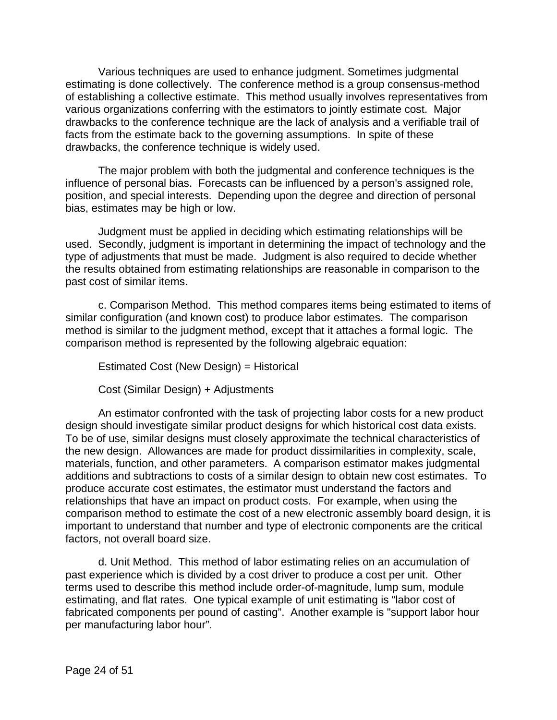Various techniques are used to enhance judgment. Sometimes judgmental estimating is done collectively. The conference method is a group consensus-method of establishing a collective estimate. This method usually involves representatives from various organizations conferring with the estimators to jointly estimate cost. Major drawbacks to the conference technique are the lack of analysis and a verifiable trail of facts from the estimate back to the governing assumptions. In spite of these drawbacks, the conference technique is widely used.

The major problem with both the judgmental and conference techniques is the influence of personal bias. Forecasts can be influenced by a person's assigned role, position, and special interests. Depending upon the degree and direction of personal bias, estimates may be high or low.

Judgment must be applied in deciding which estimating relationships will be used. Secondly, judgment is important in determining the impact of technology and the type of adjustments that must be made. Judgment is also required to decide whether the results obtained from estimating relationships are reasonable in comparison to the past cost of similar items.

c. Comparison Method. This method compares items being estimated to items of similar configuration (and known cost) to produce labor estimates. The comparison method is similar to the judgment method, except that it attaches a formal logic. The comparison method is represented by the following algebraic equation:

Estimated Cost (New Design) = Historical

Cost (Similar Design) + Adjustments

An estimator confronted with the task of projecting labor costs for a new product design should investigate similar product designs for which historical cost data exists. To be of use, similar designs must closely approximate the technical characteristics of the new design. Allowances are made for product dissimilarities in complexity, scale, materials, function, and other parameters. A comparison estimator makes judgmental additions and subtractions to costs of a similar design to obtain new cost estimates. To produce accurate cost estimates, the estimator must understand the factors and relationships that have an impact on product costs. For example, when using the comparison method to estimate the cost of a new electronic assembly board design, it is important to understand that number and type of electronic components are the critical factors, not overall board size.

d. Unit Method. This method of labor estimating relies on an accumulation of past experience which is divided by a cost driver to produce a cost per unit. Other terms used to describe this method include order-of-magnitude, lump sum, module estimating, and flat rates. One typical example of unit estimating is "labor cost of fabricated components per pound of casting". Another example is "support labor hour per manufacturing labor hour".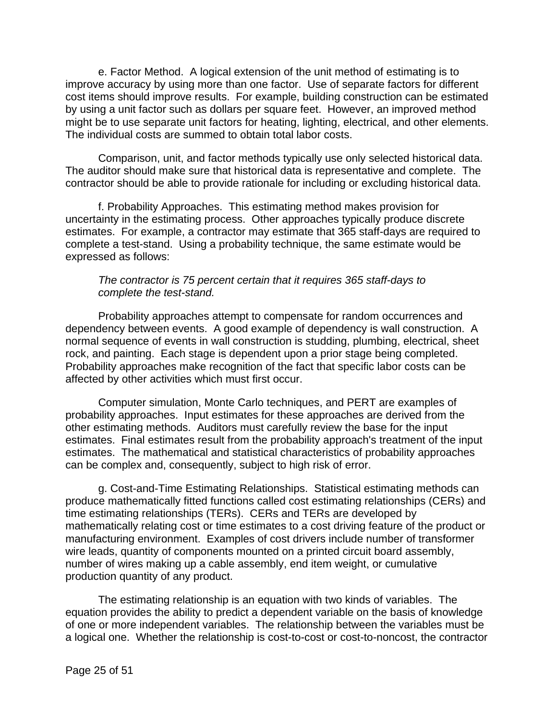e. Factor Method. A logical extension of the unit method of estimating is to improve accuracy by using more than one factor. Use of separate factors for different cost items should improve results. For example, building construction can be estimated by using a unit factor such as dollars per square feet. However, an improved method might be to use separate unit factors for heating, lighting, electrical, and other elements. The individual costs are summed to obtain total labor costs.

Comparison, unit, and factor methods typically use only selected historical data. The auditor should make sure that historical data is representative and complete. The contractor should be able to provide rationale for including or excluding historical data.

f. Probability Approaches. This estimating method makes provision for uncertainty in the estimating process. Other approaches typically produce discrete estimates. For example, a contractor may estimate that 365 staff-days are required to complete a test-stand. Using a probability technique, the same estimate would be expressed as follows:

#### *The contractor is 75 percent certain that it requires 365 staff-days to complete the test-stand.*

Probability approaches attempt to compensate for random occurrences and dependency between events. A good example of dependency is wall construction. A normal sequence of events in wall construction is studding, plumbing, electrical, sheet rock, and painting. Each stage is dependent upon a prior stage being completed. Probability approaches make recognition of the fact that specific labor costs can be affected by other activities which must first occur.

Computer simulation, Monte Carlo techniques, and PERT are examples of probability approaches. Input estimates for these approaches are derived from the other estimating methods. Auditors must carefully review the base for the input estimates. Final estimates result from the probability approach's treatment of the input estimates. The mathematical and statistical characteristics of probability approaches can be complex and, consequently, subject to high risk of error.

g. Cost-and-Time Estimating Relationships. Statistical estimating methods can produce mathematically fitted functions called cost estimating relationships (CERs) and time estimating relationships (TERs). CERs and TERs are developed by mathematically relating cost or time estimates to a cost driving feature of the product or manufacturing environment. Examples of cost drivers include number of transformer wire leads, quantity of components mounted on a printed circuit board assembly, number of wires making up a cable assembly, end item weight, or cumulative production quantity of any product.

The estimating relationship is an equation with two kinds of variables. The equation provides the ability to predict a dependent variable on the basis of knowledge of one or more independent variables. The relationship between the variables must be a logical one. Whether the relationship is cost-to-cost or cost-to-noncost, the contractor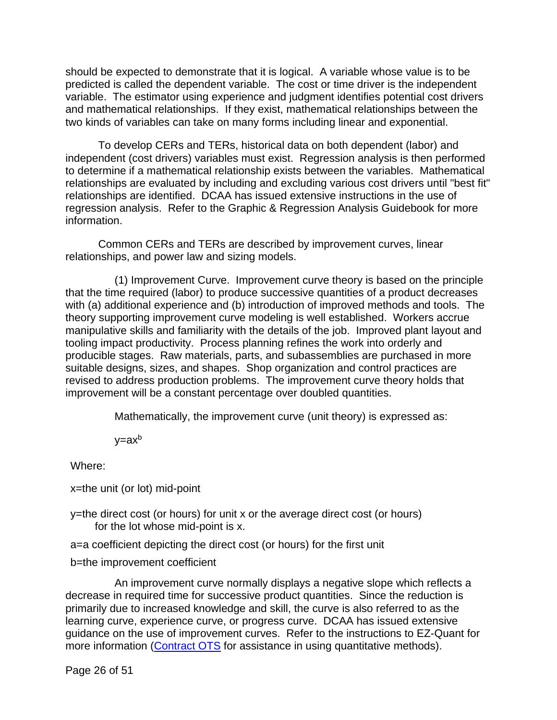should be expected to demonstrate that it is logical. A variable whose value is to be predicted is called the dependent variable. The cost or time driver is the independent variable. The estimator using experience and judgment identifies potential cost drivers and mathematical relationships. If they exist, mathematical relationships between the two kinds of variables can take on many forms including linear and exponential.

To develop CERs and TERs, historical data on both dependent (labor) and independent (cost drivers) variables must exist. Regression analysis is then performed to determine if a mathematical relationship exists between the variables. Mathematical relationships are evaluated by including and excluding various cost drivers until "best fit" relationships are identified. DCAA has issued extensive instructions in the use of regression analysis. Refer to the Graphic & Regression Analysis Guidebook for more information.

Common CERs and TERs are described by improvement curves, linear relationships, and power law and sizing models.

(1) Improvement Curve. Improvement curve theory is based on the principle that the time required (labor) to produce successive quantities of a product decreases with (a) additional experience and (b) introduction of improved methods and tools. The theory supporting improvement curve modeling is well established. Workers accrue manipulative skills and familiarity with the details of the job. Improved plant layout and tooling impact productivity. Process planning refines the work into orderly and producible stages. Raw materials, parts, and subassemblies are purchased in more suitable designs, sizes, and shapes. Shop organization and control practices are revised to address production problems. The improvement curve theory holds that improvement will be a constant percentage over doubled quantities.

Mathematically, the improvement curve (unit theory) is expressed as:

 $y = ax^b$ 

Where:

x=the unit (or lot) mid-point

y=the direct cost (or hours) for unit x or the average direct cost (or hours) for the lot whose mid-point is x.

a=a coefficient depicting the direct cost (or hours) for the first unit

b=the improvement coefficient

An improvement curve normally displays a negative slope which reflects a decrease in required time for successive product quantities. Since the reduction is primarily due to increased knowledge and skill, the curve is also referred to as the learning curve, experience curve, or progress curve. DCAA has issued extensive guidance on the use of improvement curves. Refer to the instructions to EZ-Quant for more information [\(Contract OTS](https://sharepoint.dcaaintra.mil/headquarters/operations/ots/SitePages/Home.aspx) for assistance in using quantitative methods).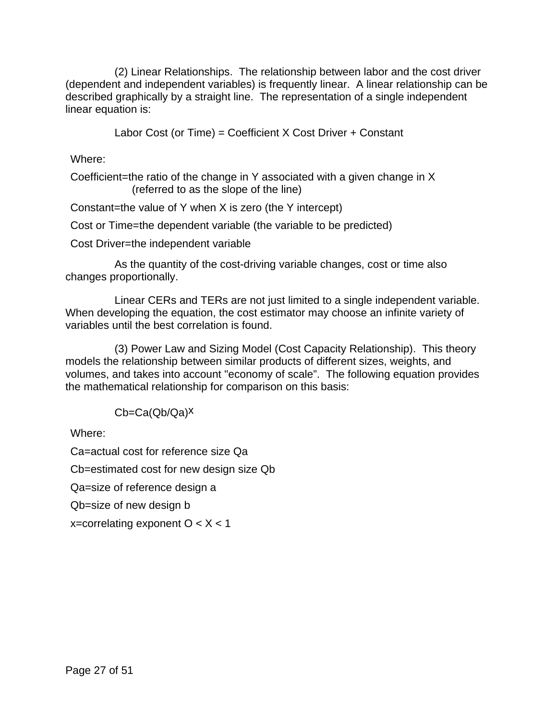(2) Linear Relationships. The relationship between labor and the cost driver (dependent and independent variables) is frequently linear. A linear relationship can be described graphically by a straight line. The representation of a single independent linear equation is:

Labor Cost (or Time) = Coefficient X Cost Driver + Constant

Where:

Coefficient=the ratio of the change in Y associated with a given change in X (referred to as the slope of the line)

Constant=the value of Y when X is zero (the Y intercept)

Cost or Time=the dependent variable (the variable to be predicted)

Cost Driver=the independent variable

As the quantity of the cost-driving variable changes, cost or time also changes proportionally.

Linear CERs and TERs are not just limited to a single independent variable. When developing the equation, the cost estimator may choose an infinite variety of variables until the best correlation is found.

(3) Power Law and Sizing Model (Cost Capacity Relationship). This theory models the relationship between similar products of different sizes, weights, and volumes, and takes into account "economy of scale". The following equation provides the mathematical relationship for comparison on this basis:

Cb=Ca(Qb/Qa)x

Where:

Ca=actual cost for reference size Qa

Cb=estimated cost for new design size Qb

Qa=size of reference design a

Qb=size of new design b

x=correlating exponent  $O < X < 1$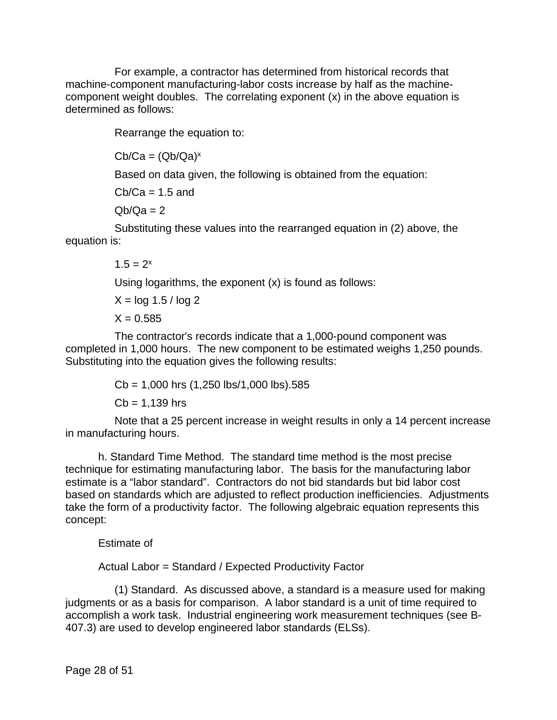For example, a contractor has determined from historical records that machine-component manufacturing-labor costs increase by half as the machinecomponent weight doubles. The correlating exponent (x) in the above equation is determined as follows:

Rearrange the equation to:

 $Cb/Ca = (Qb/Qa)^x$ 

Based on data given, the following is obtained from the equation:

 $Cb/Ca = 1.5$  and

 $Qb/Qa = 2$ 

Substituting these values into the rearranged equation in (2) above, the equation is:

 $1.5 = 2^x$ 

Using logarithms, the exponent (x) is found as follows:

 $X = \log 1.5 / \log 2$  $X = 0.585$ 

The contractor's records indicate that a 1,000-pound component was completed in 1,000 hours. The new component to be estimated weighs 1,250 pounds. Substituting into the equation gives the following results:

> $Cb = 1,000$  hrs  $(1,250$  lbs/1,000 lbs).585  $Cb = 1.139$  hrs

Note that a 25 percent increase in weight results in only a 14 percent increase in manufacturing hours.

h. Standard Time Method. The standard time method is the most precise technique for estimating manufacturing labor. The basis for the manufacturing labor estimate is a "labor standard". Contractors do not bid standards but bid labor cost based on standards which are adjusted to reflect production inefficiencies. Adjustments take the form of a productivity factor. The following algebraic equation represents this concept:

Estimate of

Actual Labor = Standard / Expected Productivity Factor

(1) Standard. As discussed above, a standard is a measure used for making judgments or as a basis for comparison. A labor standard is a unit of time required to accomplish a work task. Industrial engineering work measurement techniques (see B-407.3) are used to develop engineered labor standards (ELSs).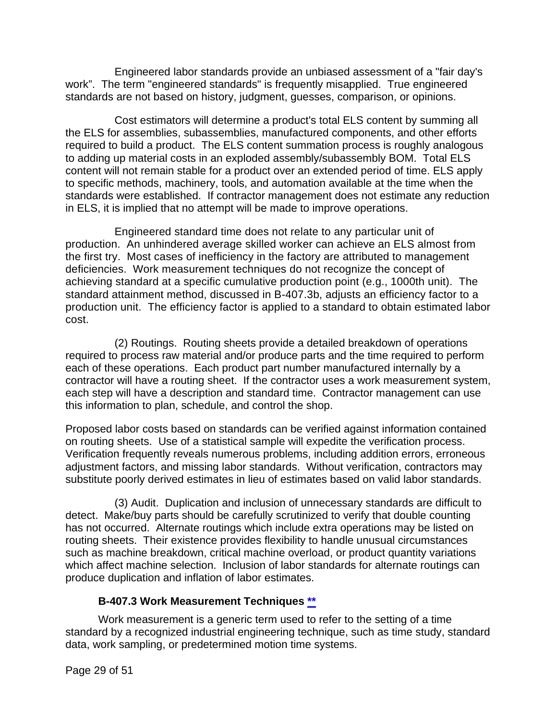Engineered labor standards provide an unbiased assessment of a "fair day's work". The term "engineered standards" is frequently misapplied. True engineered standards are not based on history, judgment, guesses, comparison, or opinions.

Cost estimators will determine a product's total ELS content by summing all the ELS for assemblies, subassemblies, manufactured components, and other efforts required to build a product. The ELS content summation process is roughly analogous to adding up material costs in an exploded assembly/subassembly BOM. Total ELS content will not remain stable for a product over an extended period of time. ELS apply to specific methods, machinery, tools, and automation available at the time when the standards were established. If contractor management does not estimate any reduction in ELS, it is implied that no attempt will be made to improve operations.

Engineered standard time does not relate to any particular unit of production. An unhindered average skilled worker can achieve an ELS almost from the first try. Most cases of inefficiency in the factory are attributed to management deficiencies. Work measurement techniques do not recognize the concept of achieving standard at a specific cumulative production point (e.g., 1000th unit). The standard attainment method, discussed in B-407.3b, adjusts an efficiency factor to a production unit. The efficiency factor is applied to a standard to obtain estimated labor cost.

(2) Routings. Routing sheets provide a detailed breakdown of operations required to process raw material and/or produce parts and the time required to perform each of these operations. Each product part number manufactured internally by a contractor will have a routing sheet. If the contractor uses a work measurement system, each step will have a description and standard time. Contractor management can use this information to plan, schedule, and control the shop.

Proposed labor costs based on standards can be verified against information contained on routing sheets. Use of a statistical sample will expedite the verification process. Verification frequently reveals numerous problems, including addition errors, erroneous adjustment factors, and missing labor standards. Without verification, contractors may substitute poorly derived estimates in lieu of estimates based on valid labor standards.

(3) Audit. Duplication and inclusion of unnecessary standards are difficult to detect. Make/buy parts should be carefully scrutinized to verify that double counting has not occurred. Alternate routings which include extra operations may be listed on routing sheets. Their existence provides flexibility to handle unusual circumstances such as machine breakdown, critical machine overload, or product quantity variations which affect machine selection. Inclusion of labor standards for alternate routings can produce duplication and inflation of labor estimates.

#### **B-407.3 Work Measurement Techniques [\\*\\*](#page-1-11)**

<span id="page-28-0"></span>Work measurement is a generic term used to refer to the setting of a time standard by a recognized industrial engineering technique, such as time study, standard data, work sampling, or predetermined motion time systems.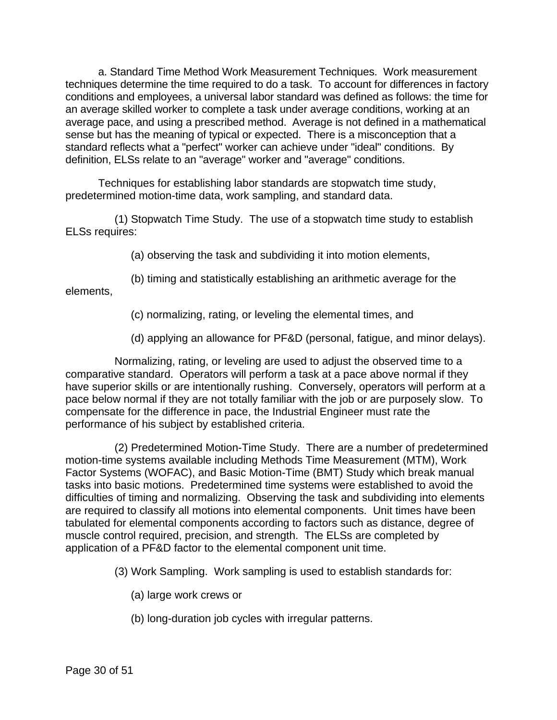a. Standard Time Method Work Measurement Techniques. Work measurement techniques determine the time required to do a task. To account for differences in factory conditions and employees, a universal labor standard was defined as follows: the time for an average skilled worker to complete a task under average conditions, working at an average pace, and using a prescribed method. Average is not defined in a mathematical sense but has the meaning of typical or expected. There is a misconception that a standard reflects what a "perfect" worker can achieve under "ideal" conditions. By definition, ELSs relate to an "average" worker and "average" conditions.

Techniques for establishing labor standards are stopwatch time study, predetermined motion-time data, work sampling, and standard data.

(1) Stopwatch Time Study. The use of a stopwatch time study to establish ELSs requires:

(a) observing the task and subdividing it into motion elements,

(b) timing and statistically establishing an arithmetic average for the elements,

(c) normalizing, rating, or leveling the elemental times, and

(d) applying an allowance for PF&D (personal, fatigue, and minor delays).

Normalizing, rating, or leveling are used to adjust the observed time to a comparative standard. Operators will perform a task at a pace above normal if they have superior skills or are intentionally rushing. Conversely, operators will perform at a pace below normal if they are not totally familiar with the job or are purposely slow. To compensate for the difference in pace, the Industrial Engineer must rate the performance of his subject by established criteria.

(2) Predetermined Motion-Time Study. There are a number of predetermined motion-time systems available including Methods Time Measurement (MTM), Work Factor Systems (WOFAC), and Basic Motion-Time (BMT) Study which break manual tasks into basic motions. Predetermined time systems were established to avoid the difficulties of timing and normalizing. Observing the task and subdividing into elements are required to classify all motions into elemental components. Unit times have been tabulated for elemental components according to factors such as distance, degree of muscle control required, precision, and strength. The ELSs are completed by application of a PF&D factor to the elemental component unit time.

(3) Work Sampling. Work sampling is used to establish standards for:

(a) large work crews or

(b) long-duration job cycles with irregular patterns.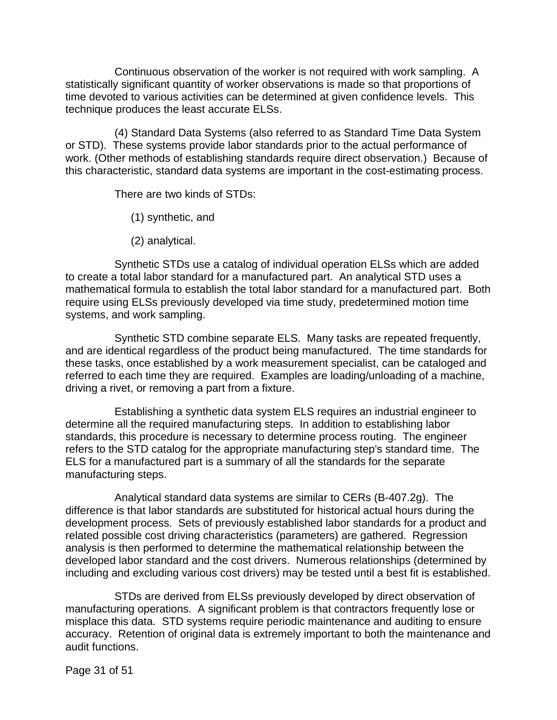Continuous observation of the worker is not required with work sampling. A statistically significant quantity of worker observations is made so that proportions of time devoted to various activities can be determined at given confidence levels. This technique produces the least accurate ELSs.

(4) Standard Data Systems (also referred to as Standard Time Data System or STD). These systems provide labor standards prior to the actual performance of work. (Other methods of establishing standards require direct observation.) Because of this characteristic, standard data systems are important in the cost-estimating process.

There are two kinds of STDs:

(1) synthetic, and

(2) analytical.

Synthetic STDs use a catalog of individual operation ELSs which are added to create a total labor standard for a manufactured part. An analytical STD uses a mathematical formula to establish the total labor standard for a manufactured part. Both require using ELSs previously developed via time study, predetermined motion time systems, and work sampling.

Synthetic STD combine separate ELS. Many tasks are repeated frequently, and are identical regardless of the product being manufactured. The time standards for these tasks, once established by a work measurement specialist, can be cataloged and referred to each time they are required. Examples are loading/unloading of a machine, driving a rivet, or removing a part from a fixture.

Establishing a synthetic data system ELS requires an industrial engineer to determine all the required manufacturing steps. In addition to establishing labor standards, this procedure is necessary to determine process routing. The engineer refers to the STD catalog for the appropriate manufacturing step's standard time. The ELS for a manufactured part is a summary of all the standards for the separate manufacturing steps.

Analytical standard data systems are similar to CERs (B-407.2g). The difference is that labor standards are substituted for historical actual hours during the development process. Sets of previously established labor standards for a product and related possible cost driving characteristics (parameters) are gathered. Regression analysis is then performed to determine the mathematical relationship between the developed labor standard and the cost drivers. Numerous relationships (determined by including and excluding various cost drivers) may be tested until a best fit is established.

STDs are derived from ELSs previously developed by direct observation of manufacturing operations. A significant problem is that contractors frequently lose or misplace this data. STD systems require periodic maintenance and auditing to ensure accuracy. Retention of original data is extremely important to both the maintenance and audit functions.

Page 31 of 51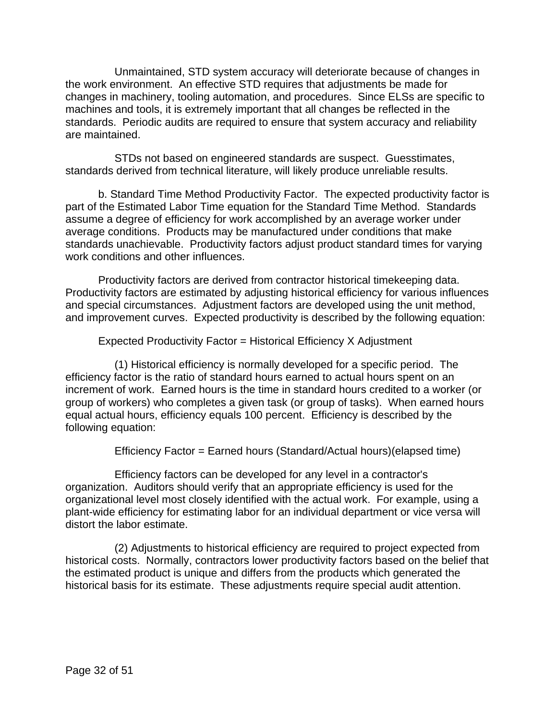Unmaintained, STD system accuracy will deteriorate because of changes in the work environment. An effective STD requires that adjustments be made for changes in machinery, tooling automation, and procedures. Since ELSs are specific to machines and tools, it is extremely important that all changes be reflected in the standards. Periodic audits are required to ensure that system accuracy and reliability are maintained.

STDs not based on engineered standards are suspect. Guesstimates, standards derived from technical literature, will likely produce unreliable results.

b. Standard Time Method Productivity Factor. The expected productivity factor is part of the Estimated Labor Time equation for the Standard Time Method. Standards assume a degree of efficiency for work accomplished by an average worker under average conditions. Products may be manufactured under conditions that make standards unachievable. Productivity factors adjust product standard times for varying work conditions and other influences.

Productivity factors are derived from contractor historical timekeeping data. Productivity factors are estimated by adjusting historical efficiency for various influences and special circumstances. Adjustment factors are developed using the unit method, and improvement curves. Expected productivity is described by the following equation:

Expected Productivity Factor = Historical Efficiency X Adjustment

(1) Historical efficiency is normally developed for a specific period. The efficiency factor is the ratio of standard hours earned to actual hours spent on an increment of work. Earned hours is the time in standard hours credited to a worker (or group of workers) who completes a given task (or group of tasks). When earned hours equal actual hours, efficiency equals 100 percent. Efficiency is described by the following equation:

Efficiency Factor = Earned hours (Standard/Actual hours)(elapsed time)

Efficiency factors can be developed for any level in a contractor's organization. Auditors should verify that an appropriate efficiency is used for the organizational level most closely identified with the actual work. For example, using a plant-wide efficiency for estimating labor for an individual department or vice versa will distort the labor estimate.

(2) Adjustments to historical efficiency are required to project expected from historical costs. Normally, contractors lower productivity factors based on the belief that the estimated product is unique and differs from the products which generated the historical basis for its estimate. These adjustments require special audit attention.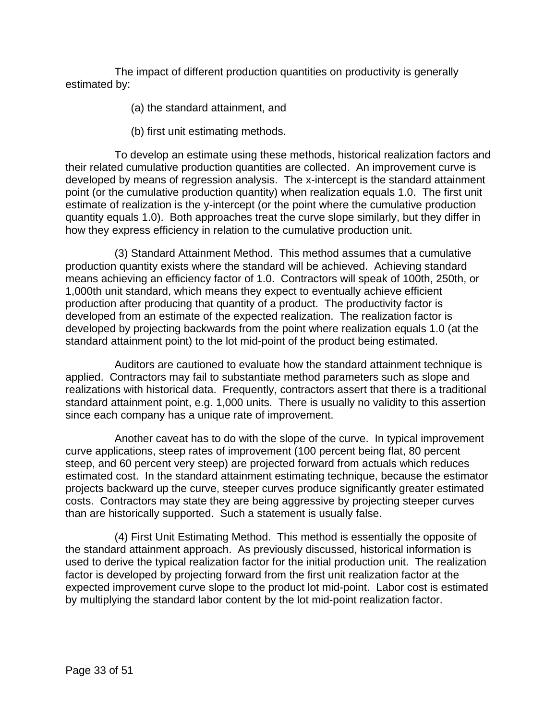The impact of different production quantities on productivity is generally estimated by:

(a) the standard attainment, and

(b) first unit estimating methods.

To develop an estimate using these methods, historical realization factors and their related cumulative production quantities are collected. An improvement curve is developed by means of regression analysis. The x-intercept is the standard attainment point (or the cumulative production quantity) when realization equals 1.0. The first unit estimate of realization is the y-intercept (or the point where the cumulative production quantity equals 1.0). Both approaches treat the curve slope similarly, but they differ in how they express efficiency in relation to the cumulative production unit.

(3) Standard Attainment Method. This method assumes that a cumulative production quantity exists where the standard will be achieved. Achieving standard means achieving an efficiency factor of 1.0. Contractors will speak of 100th, 250th, or 1,000th unit standard, which means they expect to eventually achieve efficient production after producing that quantity of a product. The productivity factor is developed from an estimate of the expected realization. The realization factor is developed by projecting backwards from the point where realization equals 1.0 (at the standard attainment point) to the lot mid-point of the product being estimated.

Auditors are cautioned to evaluate how the standard attainment technique is applied. Contractors may fail to substantiate method parameters such as slope and realizations with historical data. Frequently, contractors assert that there is a traditional standard attainment point, e.g. 1,000 units. There is usually no validity to this assertion since each company has a unique rate of improvement.

Another caveat has to do with the slope of the curve. In typical improvement curve applications, steep rates of improvement (100 percent being flat, 80 percent steep, and 60 percent very steep) are projected forward from actuals which reduces estimated cost. In the standard attainment estimating technique, because the estimator projects backward up the curve, steeper curves produce significantly greater estimated costs. Contractors may state they are being aggressive by projecting steeper curves than are historically supported. Such a statement is usually false.

(4) First Unit Estimating Method. This method is essentially the opposite of the standard attainment approach. As previously discussed, historical information is used to derive the typical realization factor for the initial production unit. The realization factor is developed by projecting forward from the first unit realization factor at the expected improvement curve slope to the product lot mid-point. Labor cost is estimated by multiplying the standard labor content by the lot mid-point realization factor.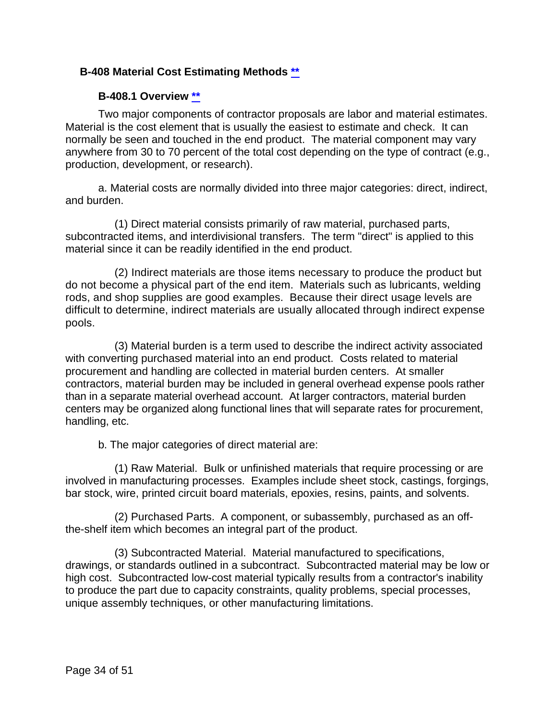#### <span id="page-33-0"></span>**B-408 Material Cost Estimating Methods [\\*\\*](#page-1-12)**

#### **B-408.1 Overview [\\*\\*](#page-1-13)**

<span id="page-33-1"></span>Two major components of contractor proposals are labor and material estimates. Material is the cost element that is usually the easiest to estimate and check. It can normally be seen and touched in the end product. The material component may vary anywhere from 30 to 70 percent of the total cost depending on the type of contract (e.g., production, development, or research).

a. Material costs are normally divided into three major categories: direct, indirect, and burden.

(1) Direct material consists primarily of raw material, purchased parts, subcontracted items, and interdivisional transfers. The term "direct" is applied to this material since it can be readily identified in the end product.

(2) Indirect materials are those items necessary to produce the product but do not become a physical part of the end item. Materials such as lubricants, welding rods, and shop supplies are good examples. Because their direct usage levels are difficult to determine, indirect materials are usually allocated through indirect expense pools.

(3) Material burden is a term used to describe the indirect activity associated with converting purchased material into an end product. Costs related to material procurement and handling are collected in material burden centers. At smaller contractors, material burden may be included in general overhead expense pools rather than in a separate material overhead account. At larger contractors, material burden centers may be organized along functional lines that will separate rates for procurement, handling, etc.

b. The major categories of direct material are:

(1) Raw Material. Bulk or unfinished materials that require processing or are involved in manufacturing processes. Examples include sheet stock, castings, forgings, bar stock, wire, printed circuit board materials, epoxies, resins, paints, and solvents.

(2) Purchased Parts. A component, or subassembly, purchased as an offthe-shelf item which becomes an integral part of the product.

(3) Subcontracted Material. Material manufactured to specifications, drawings, or standards outlined in a subcontract. Subcontracted material may be low or high cost. Subcontracted low-cost material typically results from a contractor's inability to produce the part due to capacity constraints, quality problems, special processes, unique assembly techniques, or other manufacturing limitations.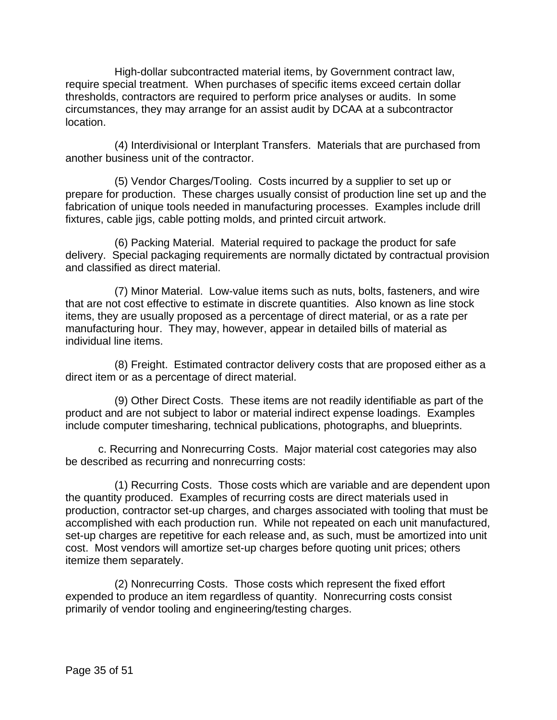High-dollar subcontracted material items, by Government contract law, require special treatment. When purchases of specific items exceed certain dollar thresholds, contractors are required to perform price analyses or audits. In some circumstances, they may arrange for an assist audit by DCAA at a subcontractor location.

(4) Interdivisional or Interplant Transfers. Materials that are purchased from another business unit of the contractor.

(5) Vendor Charges/Tooling. Costs incurred by a supplier to set up or prepare for production. These charges usually consist of production line set up and the fabrication of unique tools needed in manufacturing processes. Examples include drill fixtures, cable jigs, cable potting molds, and printed circuit artwork.

(6) Packing Material. Material required to package the product for safe delivery. Special packaging requirements are normally dictated by contractual provision and classified as direct material.

(7) Minor Material. Low-value items such as nuts, bolts, fasteners, and wire that are not cost effective to estimate in discrete quantities. Also known as line stock items, they are usually proposed as a percentage of direct material, or as a rate per manufacturing hour. They may, however, appear in detailed bills of material as individual line items.

(8) Freight. Estimated contractor delivery costs that are proposed either as a direct item or as a percentage of direct material.

(9) Other Direct Costs. These items are not readily identifiable as part of the product and are not subject to labor or material indirect expense loadings. Examples include computer timesharing, technical publications, photographs, and blueprints.

c. Recurring and Nonrecurring Costs. Major material cost categories may also be described as recurring and nonrecurring costs:

(1) Recurring Costs. Those costs which are variable and are dependent upon the quantity produced. Examples of recurring costs are direct materials used in production, contractor set-up charges, and charges associated with tooling that must be accomplished with each production run. While not repeated on each unit manufactured, set-up charges are repetitive for each release and, as such, must be amortized into unit cost. Most vendors will amortize set-up charges before quoting unit prices; others itemize them separately.

(2) Nonrecurring Costs. Those costs which represent the fixed effort expended to produce an item regardless of quantity. Nonrecurring costs consist primarily of vendor tooling and engineering/testing charges.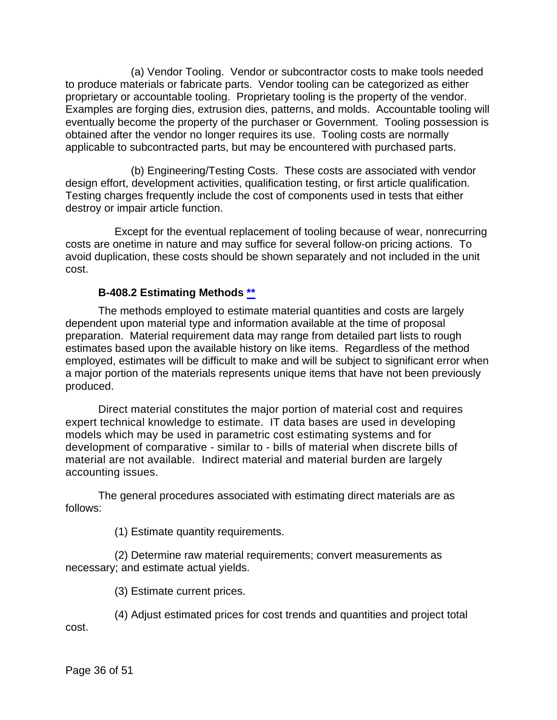(a) Vendor Tooling. Vendor or subcontractor costs to make tools needed to produce materials or fabricate parts. Vendor tooling can be categorized as either proprietary or accountable tooling. Proprietary tooling is the property of the vendor. Examples are forging dies, extrusion dies, patterns, and molds. Accountable tooling will eventually become the property of the purchaser or Government. Tooling possession is obtained after the vendor no longer requires its use. Tooling costs are normally applicable to subcontracted parts, but may be encountered with purchased parts.

(b) Engineering/Testing Costs. These costs are associated with vendor design effort, development activities, qualification testing, or first article qualification. Testing charges frequently include the cost of components used in tests that either destroy or impair article function.

Except for the eventual replacement of tooling because of wear, nonrecurring costs are onetime in nature and may suffice for several follow-on pricing actions. To avoid duplication, these costs should be shown separately and not included in the unit cost.

#### **B-408.2 Estimating Methods [\\*\\*](#page-1-14)**

<span id="page-35-0"></span>The methods employed to estimate material quantities and costs are largely dependent upon material type and information available at the time of proposal preparation. Material requirement data may range from detailed part lists to rough estimates based upon the available history on like items. Regardless of the method employed, estimates will be difficult to make and will be subject to significant error when a major portion of the materials represents unique items that have not been previously produced.

Direct material constitutes the major portion of material cost and requires expert technical knowledge to estimate. IT data bases are used in developing models which may be used in parametric cost estimating systems and for development of comparative - similar to - bills of material when discrete bills of material are not available. Indirect material and material burden are largely accounting issues.

The general procedures associated with estimating direct materials are as follows:

(1) Estimate quantity requirements.

(2) Determine raw material requirements; convert measurements as necessary; and estimate actual yields.

(3) Estimate current prices.

(4) Adjust estimated prices for cost trends and quantities and project total cost.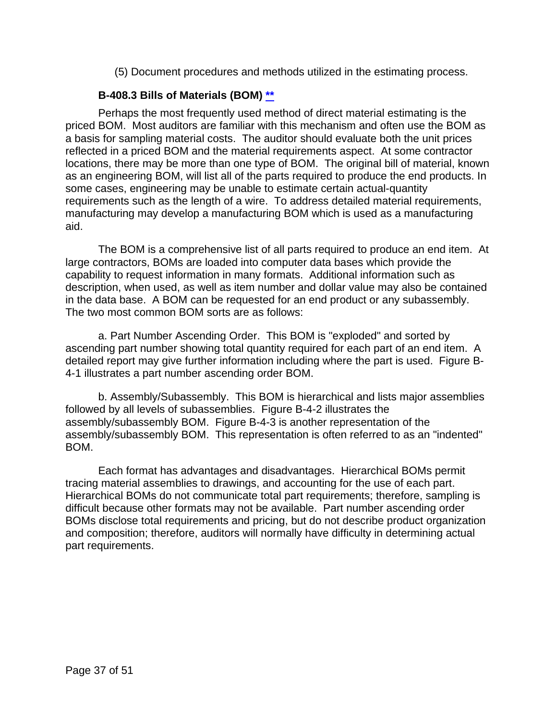(5) Document procedures and methods utilized in the estimating process.

#### **B-408.3 Bills of Materials (BOM) [\\*\\*](#page-1-15)**

<span id="page-36-0"></span>Perhaps the most frequently used method of direct material estimating is the priced BOM. Most auditors are familiar with this mechanism and often use the BOM as a basis for sampling material costs. The auditor should evaluate both the unit prices reflected in a priced BOM and the material requirements aspect. At some contractor locations, there may be more than one type of BOM. The original bill of material, known as an engineering BOM, will list all of the parts required to produce the end products. In some cases, engineering may be unable to estimate certain actual-quantity requirements such as the length of a wire. To address detailed material requirements, manufacturing may develop a manufacturing BOM which is used as a manufacturing aid.

The BOM is a comprehensive list of all parts required to produce an end item. At large contractors, BOMs are loaded into computer data bases which provide the capability to request information in many formats. Additional information such as description, when used, as well as item number and dollar value may also be contained in the data base. A BOM can be requested for an end product or any subassembly. The two most common BOM sorts are as follows:

a. Part Number Ascending Order. This BOM is "exploded" and sorted by ascending part number showing total quantity required for each part of an end item. A detailed report may give further information including where the part is used. Figure B-4-1 illustrates a part number ascending order BOM.

b. Assembly/Subassembly. This BOM is hierarchical and lists major assemblies followed by all levels of subassemblies. Figure B-4-2 illustrates the assembly/subassembly BOM. Figure B-4-3 is another representation of the assembly/subassembly BOM. This representation is often referred to as an "indented" BOM.

Each format has advantages and disadvantages. Hierarchical BOMs permit tracing material assemblies to drawings, and accounting for the use of each part. Hierarchical BOMs do not communicate total part requirements; therefore, sampling is difficult because other formats may not be available. Part number ascending order BOMs disclose total requirements and pricing, but do not describe product organization and composition; therefore, auditors will normally have difficulty in determining actual part requirements.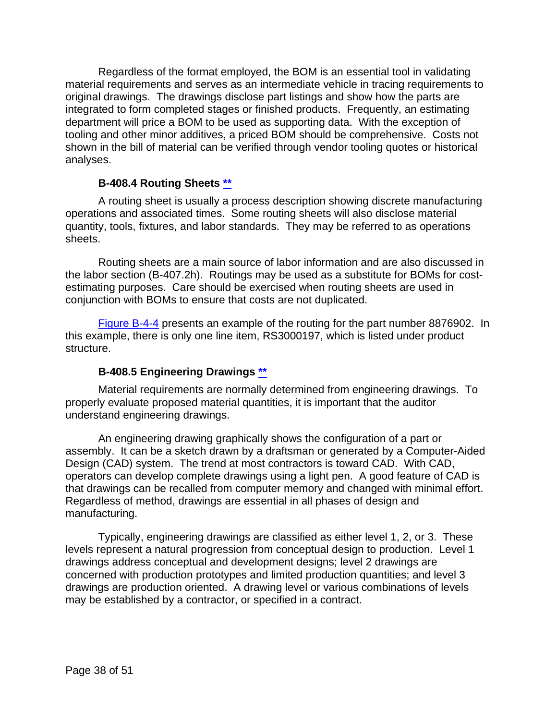Regardless of the format employed, the BOM is an essential tool in validating material requirements and serves as an intermediate vehicle in tracing requirements to original drawings. The drawings disclose part listings and show how the parts are integrated to form completed stages or finished products. Frequently, an estimating department will price a BOM to be used as supporting data. With the exception of tooling and other minor additives, a priced BOM should be comprehensive. Costs not shown in the bill of material can be verified through vendor tooling quotes or historical analyses.

#### **B-408.4 Routing Sheets [\\*\\*](#page-1-16)**

<span id="page-37-0"></span>A routing sheet is usually a process description showing discrete manufacturing operations and associated times. Some routing sheets will also disclose material quantity, tools, fixtures, and labor standards. They may be referred to as operations sheets.

Routing sheets are a main source of labor information and are also discussed in the labor section (B-407.2h). Routings may be used as a substitute for BOMs for costestimating purposes. Care should be exercised when routing sheets are used in conjunction with BOMs to ensure that costs are not duplicated.

[Figure B-4-4](#page-44-0) presents an example of the routing for the part number 8876902. In this example, there is only one line item, RS3000197, which is listed under product structure.

#### **B-408.5 Engineering Drawings [\\*\\*](#page-1-17)**

<span id="page-37-1"></span>Material requirements are normally determined from engineering drawings. To properly evaluate proposed material quantities, it is important that the auditor understand engineering drawings.

An engineering drawing graphically shows the configuration of a part or assembly. It can be a sketch drawn by a draftsman or generated by a Computer-Aided Design (CAD) system. The trend at most contractors is toward CAD. With CAD, operators can develop complete drawings using a light pen. A good feature of CAD is that drawings can be recalled from computer memory and changed with minimal effort. Regardless of method, drawings are essential in all phases of design and manufacturing.

Typically, engineering drawings are classified as either level 1, 2, or 3. These levels represent a natural progression from conceptual design to production. Level 1 drawings address conceptual and development designs; level 2 drawings are concerned with production prototypes and limited production quantities; and level 3 drawings are production oriented. A drawing level or various combinations of levels may be established by a contractor, or specified in a contract.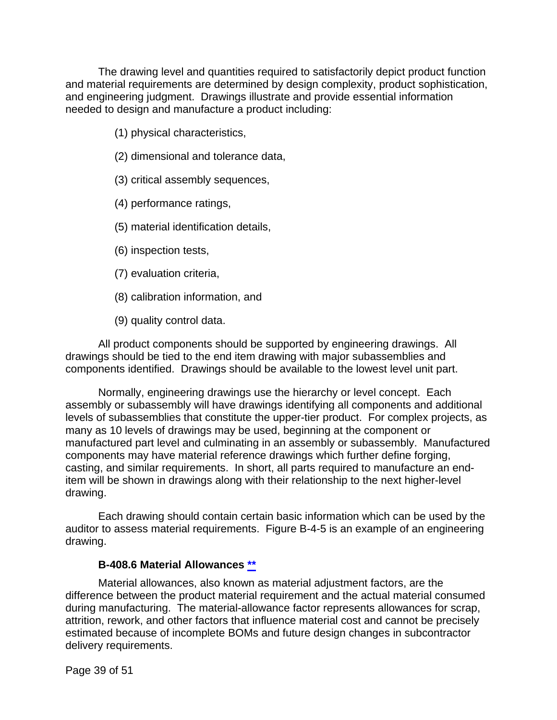The drawing level and quantities required to satisfactorily depict product function and material requirements are determined by design complexity, product sophistication, and engineering judgment. Drawings illustrate and provide essential information needed to design and manufacture a product including:

- (1) physical characteristics,
- (2) dimensional and tolerance data,
- (3) critical assembly sequences,
- (4) performance ratings,
- (5) material identification details,
- (6) inspection tests,
- (7) evaluation criteria,
- (8) calibration information, and
- (9) quality control data.

All product components should be supported by engineering drawings. All drawings should be tied to the end item drawing with major subassemblies and components identified. Drawings should be available to the lowest level unit part.

Normally, engineering drawings use the hierarchy or level concept. Each assembly or subassembly will have drawings identifying all components and additional levels of subassemblies that constitute the upper-tier product. For complex projects, as many as 10 levels of drawings may be used, beginning at the component or manufactured part level and culminating in an assembly or subassembly. Manufactured components may have material reference drawings which further define forging, casting, and similar requirements. In short, all parts required to manufacture an enditem will be shown in drawings along with their relationship to the next higher-level drawing.

Each drawing should contain certain basic information which can be used by the auditor to assess material requirements. Figure B-4-5 is an example of an engineering drawing.

#### **B-408.6 Material Allowances [\\*\\*](#page-1-18)**

<span id="page-38-0"></span>Material allowances, also known as material adjustment factors, are the difference between the product material requirement and the actual material consumed during manufacturing. The material-allowance factor represents allowances for scrap, attrition, rework, and other factors that influence material cost and cannot be precisely estimated because of incomplete BOMs and future design changes in subcontractor delivery requirements.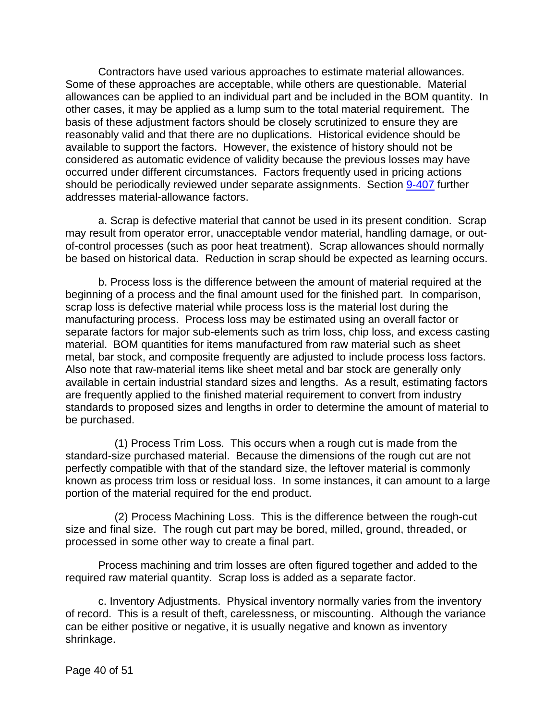Contractors have used various approaches to estimate material allowances. Some of these approaches are acceptable, while others are questionable. Material allowances can be applied to an individual part and be included in the BOM quantity. In other cases, it may be applied as a lump sum to the total material requirement. The basis of these adjustment factors should be closely scrutinized to ensure they are reasonably valid and that there are no duplications. Historical evidence should be available to support the factors. However, the existence of history should not be considered as automatic evidence of validity because the previous losses may have occurred under different circumstances. Factors frequently used in pricing actions should be periodically reviewed under separate assignments. Section [9-407](https://viper.dcaa.mil/guidance/cam/3144/audits-of-cost-estimating-and-pricing-proposals#Sec9407) further addresses material-allowance factors.

a. Scrap is defective material that cannot be used in its present condition. Scrap may result from operator error, unacceptable vendor material, handling damage, or outof-control processes (such as poor heat treatment). Scrap allowances should normally be based on historical data. Reduction in scrap should be expected as learning occurs.

b. Process loss is the difference between the amount of material required at the beginning of a process and the final amount used for the finished part. In comparison, scrap loss is defective material while process loss is the material lost during the manufacturing process. Process loss may be estimated using an overall factor or separate factors for major sub-elements such as trim loss, chip loss, and excess casting material. BOM quantities for items manufactured from raw material such as sheet metal, bar stock, and composite frequently are adjusted to include process loss factors. Also note that raw-material items like sheet metal and bar stock are generally only available in certain industrial standard sizes and lengths. As a result, estimating factors are frequently applied to the finished material requirement to convert from industry standards to proposed sizes and lengths in order to determine the amount of material to be purchased.

(1) Process Trim Loss. This occurs when a rough cut is made from the standard-size purchased material. Because the dimensions of the rough cut are not perfectly compatible with that of the standard size, the leftover material is commonly known as process trim loss or residual loss. In some instances, it can amount to a large portion of the material required for the end product.

(2) Process Machining Loss. This is the difference between the rough-cut size and final size. The rough cut part may be bored, milled, ground, threaded, or processed in some other way to create a final part.

Process machining and trim losses are often figured together and added to the required raw material quantity. Scrap loss is added as a separate factor.

c. Inventory Adjustments. Physical inventory normally varies from the inventory of record. This is a result of theft, carelessness, or miscounting. Although the variance can be either positive or negative, it is usually negative and known as inventory shrinkage.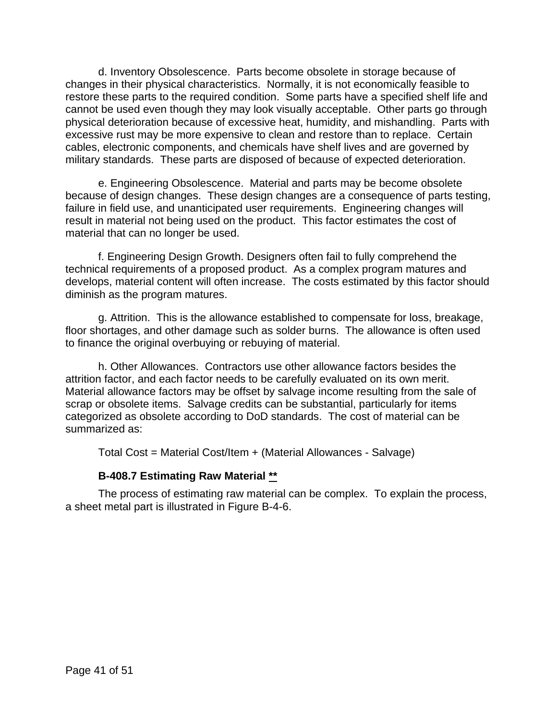d. Inventory Obsolescence. Parts become obsolete in storage because of changes in their physical characteristics. Normally, it is not economically feasible to restore these parts to the required condition. Some parts have a specified shelf life and cannot be used even though they may look visually acceptable. Other parts go through physical deterioration because of excessive heat, humidity, and mishandling. Parts with excessive rust may be more expensive to clean and restore than to replace. Certain cables, electronic components, and chemicals have shelf lives and are governed by military standards. These parts are disposed of because of expected deterioration.

e. Engineering Obsolescence. Material and parts may be become obsolete because of design changes. These design changes are a consequence of parts testing, failure in field use, and unanticipated user requirements. Engineering changes will result in material not being used on the product. This factor estimates the cost of material that can no longer be used.

f. Engineering Design Growth. Designers often fail to fully comprehend the technical requirements of a proposed product. As a complex program matures and develops, material content will often increase. The costs estimated by this factor should diminish as the program matures.

g. Attrition. This is the allowance established to compensate for loss, breakage, floor shortages, and other damage such as solder burns. The allowance is often used to finance the original overbuying or rebuying of material.

h. Other Allowances. Contractors use other allowance factors besides the attrition factor, and each factor needs to be carefully evaluated on its own merit. Material allowance factors may be offset by salvage income resulting from the sale of scrap or obsolete items. Salvage credits can be substantial, particularly for items categorized as obsolete according to DoD standards. The cost of material can be summarized as:

Total Cost = Material Cost/Item + (Material Allowances - Salvage)

#### **B-408.7 Estimating Raw Material [\\*\\*](#page-1-19)**

<span id="page-40-0"></span>The process of estimating raw material can be complex. To explain the process, a sheet metal part is illustrated in Figure B-4-6.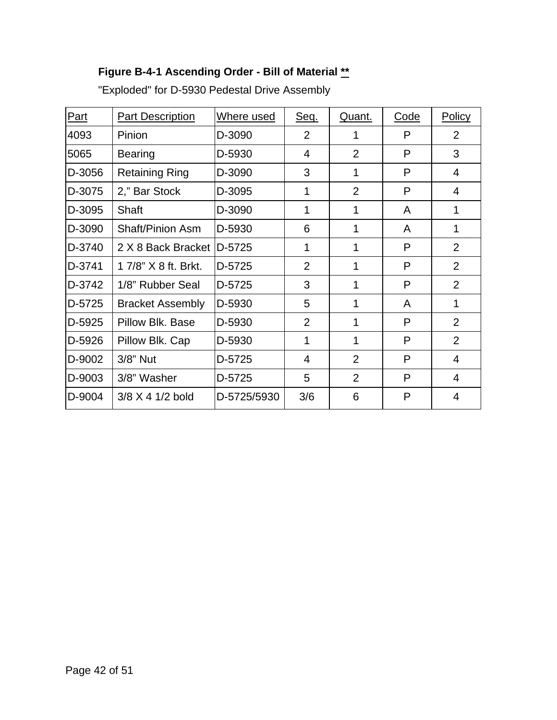## <span id="page-41-0"></span>**Figure B-4-1 Ascending Order - Bill of Material [\\*\\*](#page-1-20)**

<span id="page-41-1"></span>

| Part   | <b>Part Description</b> | Where used  | Seq.           | Quant.         | Code | <b>Policy</b>  |
|--------|-------------------------|-------------|----------------|----------------|------|----------------|
| 4093   | Pinion                  | D-3090      | $\overline{2}$ | 1              | P    | 2              |
| 5065   | <b>Bearing</b>          | D-5930      | 4              | $\overline{2}$ | P    | 3              |
| D-3056 | <b>Retaining Ring</b>   | D-3090      | 3              | 1              | P    | 4              |
| D-3075 | 2," Bar Stock           | D-3095      | 1              | $\overline{2}$ | P    | 4              |
| D-3095 | Shaft                   | D-3090      | 1              | 1              | A    | 1              |
| D-3090 | <b>Shaft/Pinion Asm</b> | D-5930      | 6              | 1              | A    | 1              |
| D-3740 | 2 X 8 Back Bracket      | D-5725      | 1              | 1              | P    | $\overline{2}$ |
| D-3741 | 1 7/8" X 8 ft. Brkt.    | D-5725      | $\overline{2}$ | 1              | P    | $\overline{2}$ |
| D-3742 | 1/8" Rubber Seal        | D-5725      | 3              | 1              | P    | $\overline{2}$ |
| D-5725 | <b>Bracket Assembly</b> | D-5930      | 5              | 1              | A    | 1              |
| D-5925 | Pillow Blk. Base        | D-5930      | $\overline{2}$ | 1              | P    | $\overline{2}$ |
| D-5926 | Pillow Blk. Cap         | D-5930      | 1              | 1              | P    | $\overline{2}$ |
| D-9002 | 3/8" Nut                | D-5725      | 4              | $\overline{2}$ | P    | 4              |
| D-9003 | 3/8" Washer             | D-5725      | 5              | $\overline{2}$ | P    | 4              |
| D-9004 | $3/8 \times 4$ 1/2 bold | D-5725/5930 | 3/6            | 6              | P    | 4              |

"Exploded" for D-5930 Pedestal Drive Assembly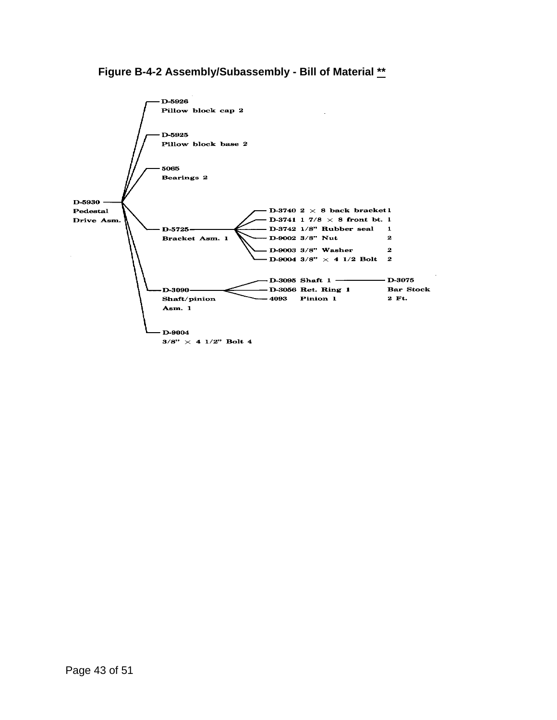#### <span id="page-42-0"></span>**Figure B-4-2 Assembly/Subassembly - Bill of Material [\\*\\*](#page-1-21)**

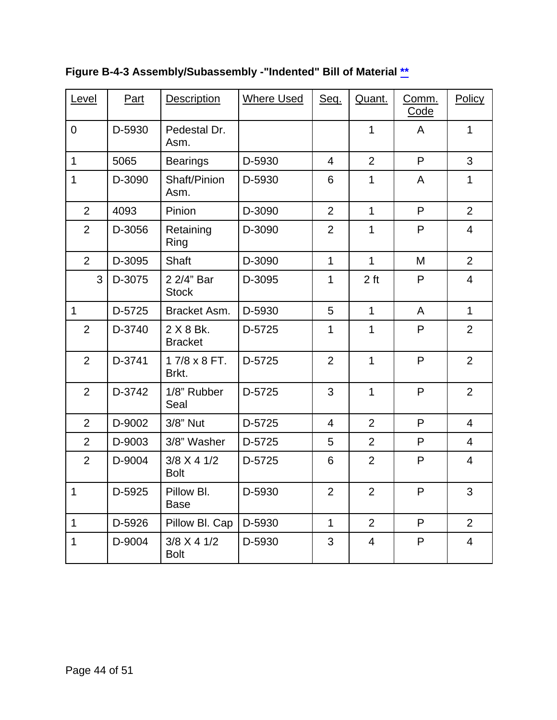| Level          | Part                                   | <b>Description</b>             | <b>Where Used</b>        | Seq.           | Quant.          | Comm.<br>Code | Policy         |  |
|----------------|----------------------------------------|--------------------------------|--------------------------|----------------|-----------------|---------------|----------------|--|
| $\mathbf 0$    | D-5930                                 | Pedestal Dr.<br>Asm.           |                          | $\mathbf{1}$   |                 | A             | $\mathbf{1}$   |  |
| $\mathbf{1}$   | 5065                                   | <b>Bearings</b>                | D-5930                   | $\overline{4}$ | $\overline{2}$  | P             | 3              |  |
| 1              | D-3090                                 | Shaft/Pinion<br>Asm.           | D-5930                   | 6              | $\mathbf{1}$    | A             | 1              |  |
| $\overline{2}$ | 4093                                   | Pinion                         | D-3090                   | $\overline{2}$ | $\mathbf{1}$    | P             | $\overline{2}$ |  |
| $\overline{2}$ | D-3056                                 | Retaining<br>Ring              | $\overline{2}$<br>D-3090 |                | $\mathbf{1}$    | P             | $\overline{4}$ |  |
| $\overline{2}$ | D-3095                                 | Shaft                          | D-3090                   | $\mathbf 1$    | $\mathbf{1}$    | M             | $\overline{2}$ |  |
| 3              | D-3075                                 | 2 2/4" Bar<br><b>Stock</b>     | D-3095                   | 1              | 2 <sub>ft</sub> | P             | $\overline{4}$ |  |
| $\mathbf{1}$   | D-5725                                 | Bracket Asm.                   | D-5930                   | 5              | $\mathbf{1}$    | A             | $\mathbf{1}$   |  |
| $\overline{2}$ | D-3740                                 | $2 X 8 Bk$ .<br><b>Bracket</b> | D-5725                   | 1              | $\mathbf{1}$    | P             | $\overline{2}$ |  |
| $\overline{2}$ | D-3741                                 | 17/8 x 8 FT.<br>Brkt.          | D-5725                   | $\overline{2}$ | $\mathbf{1}$    | P             | $\overline{2}$ |  |
| $\overline{2}$ | D-3742                                 | 1/8" Rubber<br>Seal            | 3<br>D-5725              |                | $\mathbf{1}$    | P             | $\overline{2}$ |  |
| $\overline{2}$ | D-9002                                 | 3/8" Nut                       | D-5725                   | 4              | $\overline{2}$  | P             | $\overline{4}$ |  |
| $\overline{2}$ | D-9003                                 | 3/8" Washer                    | D-5725                   | 5              | $\overline{2}$  | P             | $\overline{4}$ |  |
| $\overline{2}$ | D-9004                                 | $3/8$ X 4 1/2<br><b>Bolt</b>   | D-5725                   | 6              | $\overline{2}$  | P             | $\overline{4}$ |  |
| $\mathbf 1$    | D-5925                                 | Pillow BI.<br><b>Base</b>      | D-5930                   | $\mathbf{2}$   | $\overline{2}$  | P             | 3              |  |
| $\mathbf 1$    | D-5926                                 | Pillow Bl. Cap                 | D-5930                   | 1              | $\overline{2}$  | P             | $\overline{2}$ |  |
| $\mathbf 1$    | D-9004<br>$3/8$ X 4 1/2<br><b>Bolt</b> |                                | D-5930                   | 3              | 4               | P             | 4              |  |

**Figure B-4-3 Assembly/Subassembly -"Indented" Bill of Material [\\*\\*](#page-1-22)**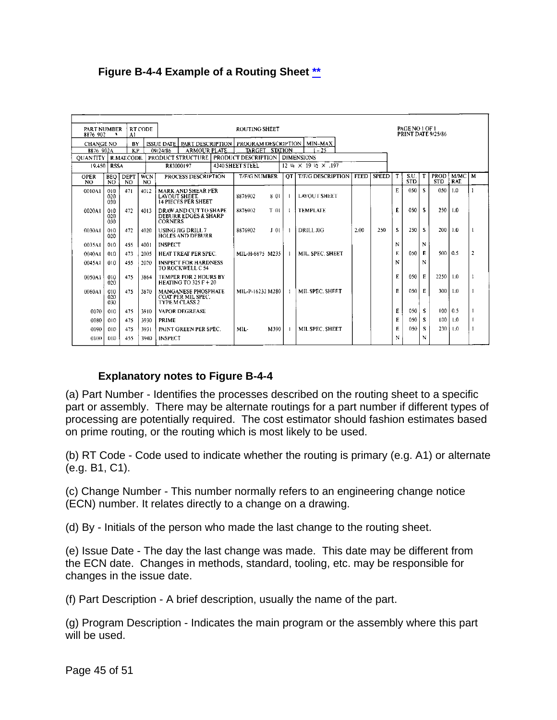#### <span id="page-44-0"></span>**Figure B-4-4 Example of a Routing Sheet [\\*\\*](#page-1-23)**

| PART NUMBER<br>8876 902                             | $\ddot{\phantom{1}}$                               | RT CODE<br>Al      |                                          |                                                  | <b>ROUTING SHEET</b>                                               |                                       |                     |                 |              |                          | PAGE NO 1 OF 1<br><b>PRINT DATE 9/25/86</b> |              |        |                    |    |                           |                  |                |
|-----------------------------------------------------|----------------------------------------------------|--------------------|------------------------------------------|--------------------------------------------------|--------------------------------------------------------------------|---------------------------------------|---------------------|-----------------|--------------|--------------------------|---------------------------------------------|--------------|--------|--------------------|----|---------------------------|------------------|----------------|
| <b>CHANGE NO</b><br><b>BY</b><br><b>ISSUE DATE</b>  |                                                    |                    |                                          | PART DESCRIPTION   PROGRAM DESCRIPTION   MIN-MAX |                                                                    |                                       |                     |                 |              |                          |                                             |              |        |                    |    |                           |                  |                |
|                                                     | KP<br>8876 902A<br>09/24/86<br><b>ARMOUR PLATE</b> |                    |                                          | $-25$<br>TARGET STATION                          |                                                                    |                                       |                     |                 |              |                          |                                             |              |        |                    |    |                           |                  |                |
| <b>OUANTITY</b><br>PRODUCT STRUCTURE<br>R.MAT.CODE. |                                                    |                    | PRODUCT DESCRIPTION<br><b>DIMENSIONS</b> |                                                  |                                                                    |                                       |                     |                 |              |                          |                                             |              |        |                    |    |                           |                  |                |
| 19.450<br><b>RSSA</b>                               |                                                    |                    | R83000197                                |                                                  |                                                                    | 4340 SHEET STEEL<br>12 M X 19 M X 197 |                     |                 |              |                          |                                             |              |        |                    |    |                           |                  |                |
| <b>OPER</b><br>NO.                                  | <b>BEO</b><br>-NO                                  | <b>DEPT</b><br>NO. | <b>WCN</b><br>NO.                        |                                                  | PROCESS DESCRIPTION                                                |                                       | <b>T/F/G NUMBER</b> |                 | OT.          | <b>T/F/G DESCRIPTION</b> | <b>FEED</b>                                 | <b>SPEED</b> | $\tau$ | S.U.<br><b>STD</b> | T  | <b>PROD</b><br><b>STD</b> | M/MC<br>RAT.     | M              |
| 0010A1                                              | 010<br>020<br>030                                  | 471                | 4012                                     | LAYOUT SHEET.                                    | <b>MARK AND SHEAR PER</b><br><b>14 PIECES PER SHEET</b>            |                                       | 8876902             | 801             |              | <b>LAYOUT SHEET</b>      |                                             |              | E      | 050                | s  | 050                       | 1.0              |                |
| 0020A1                                              | 010<br>020<br>030                                  | 472                | 4013                                     | <b>CORNERS</b>                                   | DRAW AND CUT TO SHAPE<br><b>DEBURR EDGES &amp; SHARP</b>           |                                       | 8876902             | T <sub>01</sub> | -1.          | <b>TEMPLATE</b>          |                                             |              | E      | 050                | s  | 250                       | 1.0              |                |
| 0030A1                                              | 010<br>020                                         | 472                | 4020                                     |                                                  | <b>USING JIG DRILL 7</b><br>HOLES AND DEBURR                       |                                       | 8876902             | 101             | $\mathbf{1}$ | DRILL JIG                | 2.00                                        | 250          | s      | 250                | s  | 200                       | 1.0              |                |
| 0035A1                                              | 010                                                | 455                | 4001                                     | <b>INSPECT</b>                                   |                                                                    |                                       |                     |                 |              |                          |                                             |              | N      |                    | N  |                           |                  |                |
| 0040A1                                              | 010                                                | 473                | 2005                                     |                                                  | HEAT TREAT PER SPEC.                                               |                                       | MIL-H-6875 M235     |                 | $\mathbf{I}$ | MIL. SPEC. SHEET         |                                             |              | E      | 050                | E  | $500 \mid 0.5$            |                  | $\overline{z}$ |
| 0045A1                                              | 010                                                | 455                | 2020                                     |                                                  | <b>INSPECT FOR HARDNESS</b><br>TO ROCKWELL C 54                    |                                       |                     |                 |              |                          |                                             |              | N      |                    | N  |                           |                  |                |
| 0050A1                                              | 010<br>020                                         | 475                | 3864                                     |                                                  | <b>TEMPER FOR 2 HOURS BY</b><br>HEATING TO 325 $F + 20$            |                                       |                     |                 |              |                          |                                             |              | E      | 050                | E  | 2250                      | 1.0              |                |
| 0060A1                                              | 010<br>020<br>030                                  | 475                | 3870                                     |                                                  | MANGANESE PHOSPHATE<br><b>COAT PER MIL SPEC.</b><br>TYPE M CLASS 2 |                                       | MIL-P-16232 M280    |                 |              | MIL SPEC. SHEET          |                                             |              | E      | 050                | E  | 300                       | 1.0              |                |
| 0070                                                | 010                                                | 475                | 3910                                     |                                                  | VAPOR DEGREASE                                                     |                                       |                     |                 |              |                          |                                             |              | E      | 050                | -S | 100 <sup>1</sup>          | 0.5              |                |
| 0080                                                | 010                                                | 475                | 3930                                     | PRIME                                            |                                                                    |                                       |                     |                 |              |                          |                                             |              | E      | 050                | s  | 100.                      | 1.0              |                |
| 0090                                                | 010                                                | 475                | 3931                                     |                                                  | PAINT GREEN PER SPEC.                                              |                                       | MIL-                | M390            | -1           | MIL SPEC, SHEET          |                                             |              | E.     | 050                | -S | 230                       | $\overline{1.0}$ |                |
| 0100                                                | 010                                                | 455                | 3940                                     | <b>INSPECT</b>                                   |                                                                    |                                       |                     |                 |              |                          |                                             |              | N      |                    | N  |                           |                  |                |

#### **Explanatory notes to Figure B-4-4**

(a) Part Number - Identifies the processes described on the routing sheet to a specific part or assembly. There may be alternate routings for a part number if different types of processing are potentially required. The cost estimator should fashion estimates based on prime routing, or the routing which is most likely to be used.

(b) RT Code - Code used to indicate whether the routing is primary (e.g. A1) or alternate (e.g. B1, C1).

(c) Change Number - This number normally refers to an engineering change notice (ECN) number. It relates directly to a change on a drawing.

(d) By - Initials of the person who made the last change to the routing sheet.

(e) Issue Date - The day the last change was made. This date may be different from the ECN date. Changes in methods, standard, tooling, etc. may be responsible for changes in the issue date.

(f) Part Description - A brief description, usually the name of the part.

(g) Program Description - Indicates the main program or the assembly where this part will be used.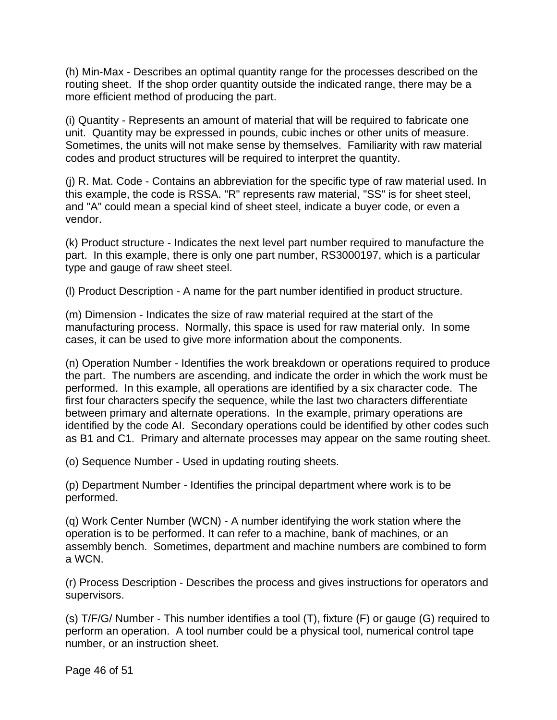(h) Min-Max - Describes an optimal quantity range for the processes described on the routing sheet. If the shop order quantity outside the indicated range, there may be a more efficient method of producing the part.

(i) Quantity - Represents an amount of material that will be required to fabricate one unit. Quantity may be expressed in pounds, cubic inches or other units of measure. Sometimes, the units will not make sense by themselves. Familiarity with raw material codes and product structures will be required to interpret the quantity.

(j) R. Mat. Code - Contains an abbreviation for the specific type of raw material used. In this example, the code is RSSA. "R" represents raw material, "SS" is for sheet steel, and "A" could mean a special kind of sheet steel, indicate a buyer code, or even a vendor.

(k) Product structure - Indicates the next level part number required to manufacture the part. In this example, there is only one part number, RS3000197, which is a particular type and gauge of raw sheet steel.

(l) Product Description - A name for the part number identified in product structure.

(m) Dimension - Indicates the size of raw material required at the start of the manufacturing process. Normally, this space is used for raw material only. In some cases, it can be used to give more information about the components.

(n) Operation Number - Identifies the work breakdown or operations required to produce the part. The numbers are ascending, and indicate the order in which the work must be performed. In this example, all operations are identified by a six character code. The first four characters specify the sequence, while the last two characters differentiate between primary and alternate operations. In the example, primary operations are identified by the code AI. Secondary operations could be identified by other codes such as B1 and C1. Primary and alternate processes may appear on the same routing sheet.

(o) Sequence Number - Used in updating routing sheets.

(p) Department Number - Identifies the principal department where work is to be performed.

(q) Work Center Number (WCN) - A number identifying the work station where the operation is to be performed. It can refer to a machine, bank of machines, or an assembly bench. Sometimes, department and machine numbers are combined to form a WCN.

(r) Process Description - Describes the process and gives instructions for operators and supervisors.

(s) T/F/G/ Number - This number identifies a tool (T), fixture (F) or gauge (G) required to perform an operation. A tool number could be a physical tool, numerical control tape number, or an instruction sheet.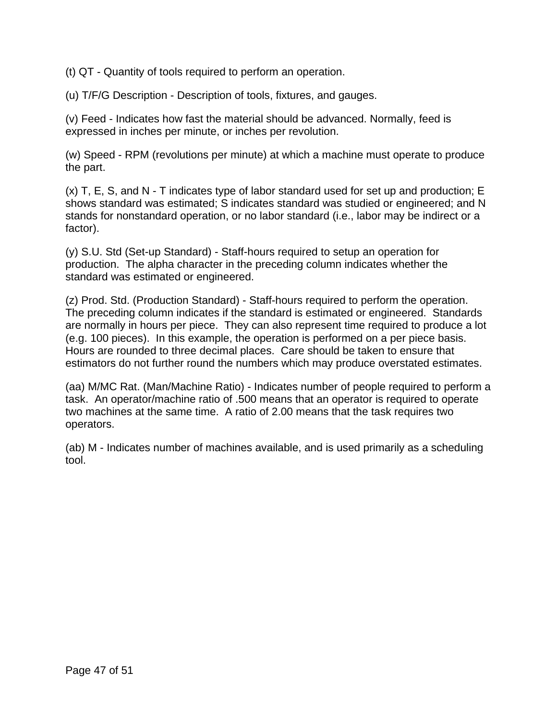(t) QT - Quantity of tools required to perform an operation.

(u) T/F/G Description - Description of tools, fixtures, and gauges.

(v) Feed - Indicates how fast the material should be advanced. Normally, feed is expressed in inches per minute, or inches per revolution.

(w) Speed - RPM (revolutions per minute) at which a machine must operate to produce the part.

(x) T, E, S, and N - T indicates type of labor standard used for set up and production; E shows standard was estimated; S indicates standard was studied or engineered; and N stands for nonstandard operation, or no labor standard (i.e., labor may be indirect or a factor).

(y) S.U. Std (Set-up Standard) - Staff-hours required to setup an operation for production. The alpha character in the preceding column indicates whether the standard was estimated or engineered.

(z) Prod. Std. (Production Standard) - Staff-hours required to perform the operation. The preceding column indicates if the standard is estimated or engineered. Standards are normally in hours per piece. They can also represent time required to produce a lot (e.g. 100 pieces). In this example, the operation is performed on a per piece basis. Hours are rounded to three decimal places. Care should be taken to ensure that estimators do not further round the numbers which may produce overstated estimates.

(aa) M/MC Rat. (Man/Machine Ratio) - Indicates number of people required to perform a task. An operator/machine ratio of .500 means that an operator is required to operate two machines at the same time. A ratio of 2.00 means that the task requires two operators.

(ab) M - Indicates number of machines available, and is used primarily as a scheduling tool.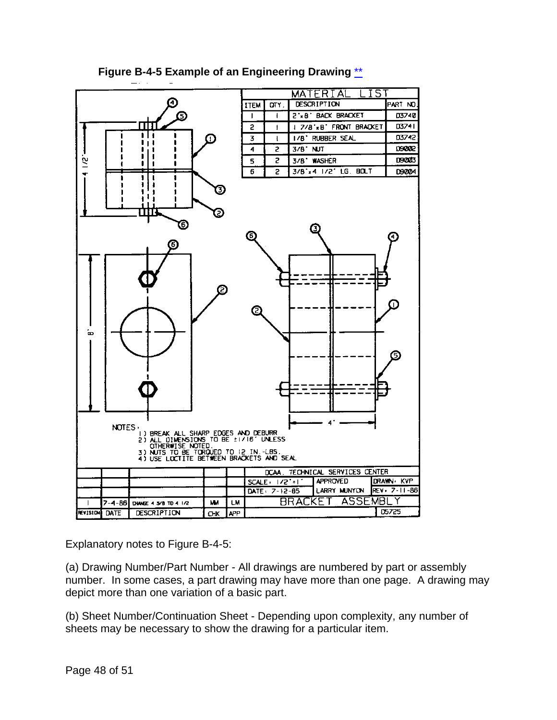<span id="page-47-0"></span>

#### **Figure B-4-5 Example of an Engineering Drawing** [\\*\\*](#page-1-24)

Explanatory notes to Figure B-4-5:

(a) Drawing Number/Part Number - All drawings are numbered by part or assembly number. In some cases, a part drawing may have more than one page. A drawing may depict more than one variation of a basic part.

(b) Sheet Number/Continuation Sheet - Depending upon complexity, any number of sheets may be necessary to show the drawing for a particular item.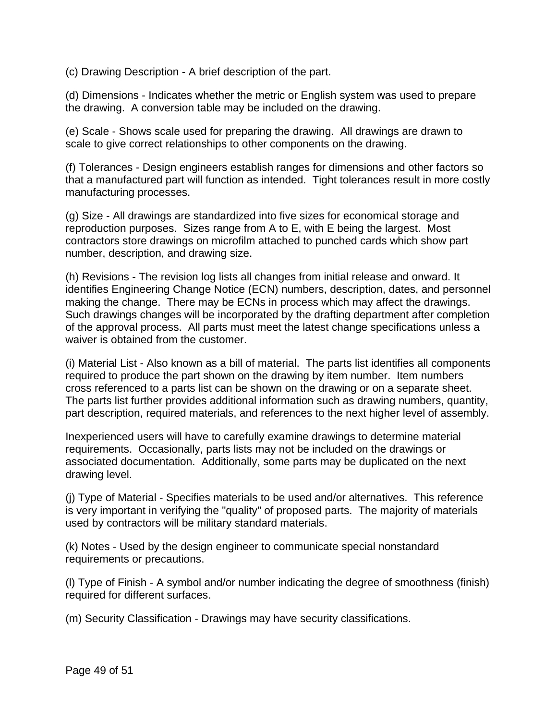(c) Drawing Description - A brief description of the part.

(d) Dimensions - Indicates whether the metric or English system was used to prepare the drawing. A conversion table may be included on the drawing.

(e) Scale - Shows scale used for preparing the drawing. All drawings are drawn to scale to give correct relationships to other components on the drawing.

(f) Tolerances - Design engineers establish ranges for dimensions and other factors so that a manufactured part will function as intended. Tight tolerances result in more costly manufacturing processes.

(g) Size - All drawings are standardized into five sizes for economical storage and reproduction purposes. Sizes range from A to E, with E being the largest. Most contractors store drawings on microfilm attached to punched cards which show part number, description, and drawing size.

(h) Revisions - The revision log lists all changes from initial release and onward. It identifies Engineering Change Notice (ECN) numbers, description, dates, and personnel making the change. There may be ECNs in process which may affect the drawings. Such drawings changes will be incorporated by the drafting department after completion of the approval process. All parts must meet the latest change specifications unless a waiver is obtained from the customer.

(i) Material List - Also known as a bill of material. The parts list identifies all components required to produce the part shown on the drawing by item number. Item numbers cross referenced to a parts list can be shown on the drawing or on a separate sheet. The parts list further provides additional information such as drawing numbers, quantity, part description, required materials, and references to the next higher level of assembly.

Inexperienced users will have to carefully examine drawings to determine material requirements. Occasionally, parts lists may not be included on the drawings or associated documentation. Additionally, some parts may be duplicated on the next drawing level.

(j) Type of Material - Specifies materials to be used and/or alternatives. This reference is very important in verifying the "quality" of proposed parts. The majority of materials used by contractors will be military standard materials.

(k) Notes - Used by the design engineer to communicate special nonstandard requirements or precautions.

(l) Type of Finish - A symbol and/or number indicating the degree of smoothness (finish) required for different surfaces.

(m) Security Classification - Drawings may have security classifications.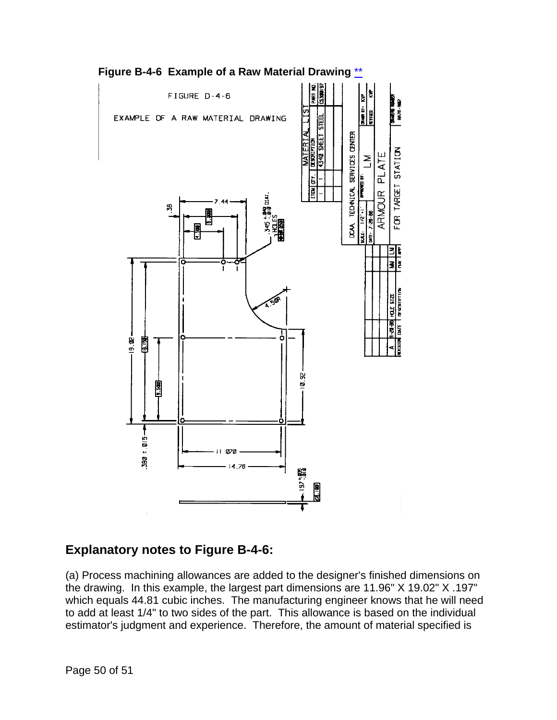

<span id="page-49-0"></span>**Figure B-4-6 Example of a Raw Material Drawing** [\\*\\*](#page-1-25)

## **Explanatory notes to Figure B-4-6:**

(a) Process machining allowances are added to the designer's finished dimensions on the drawing. In this example, the largest part dimensions are 11.96" X 19.02" X .197" which equals 44.81 cubic inches. The manufacturing engineer knows that he will need to add at least 1/4" to two sides of the part. This allowance is based on the individual estimator's judgment and experience. Therefore, the amount of material specified is